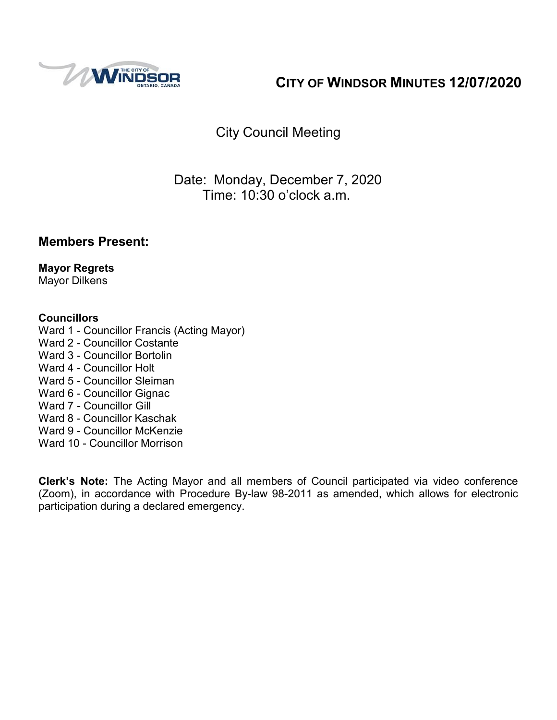

## **CITY OF WINDSOR MINUTES 12/07/2020**

City Council Meeting

## Date: Monday, December 7, 2020 Time: 10:30 o'clock a.m.

### **Members Present:**

**Mayor Regrets** Mayor Dilkens

### **Councillors**

- Ward 1 Councillor Francis (Acting Mayor)
- Ward 2 Councillor Costante
- Ward 3 Councillor Bortolin
- Ward 4 Councillor Holt
- Ward 5 Councillor Sleiman
- Ward 6 Councillor Gignac
- Ward 7 Councillor Gill
- Ward 8 Councillor Kaschak
- Ward 9 Councillor McKenzie
- Ward 10 Councillor Morrison

**Clerk's Note:** The Acting Mayor and all members of Council participated via video conference (Zoom), in accordance with Procedure By-law 98-2011 as amended, which allows for electronic participation during a declared emergency.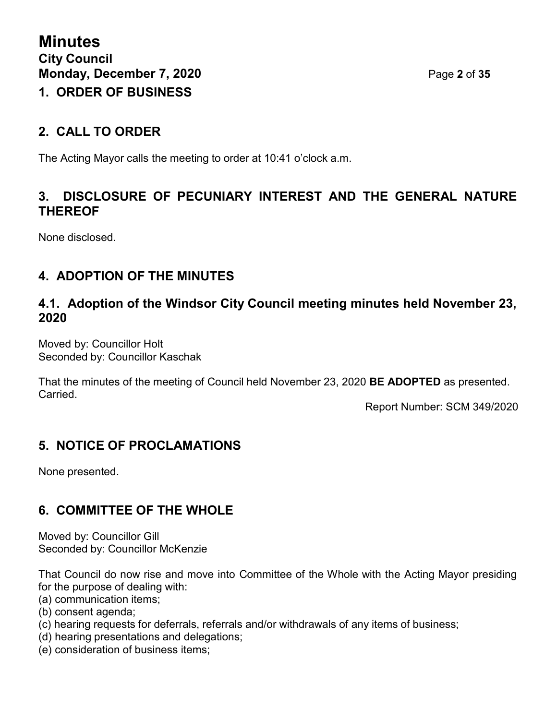### **2. CALL TO ORDER**

The Acting Mayor calls the meeting to order at 10:41 o'clock a.m.

### **3. DISCLOSURE OF PECUNIARY INTEREST AND THE GENERAL NATURE THEREOF**

None disclosed.

### **4. ADOPTION OF THE MINUTES**

### **4.1. Adoption of the Windsor City Council meeting minutes held November 23, 2020**

Moved by: Councillor Holt Seconded by: Councillor Kaschak

That the minutes of the meeting of Council held November 23, 2020 **BE ADOPTED** as presented. Carried.

Report Number: SCM 349/2020

### **5. NOTICE OF PROCLAMATIONS**

None presented.

### **6. COMMITTEE OF THE WHOLE**

Moved by: Councillor Gill Seconded by: Councillor McKenzie

That Council do now rise and move into Committee of the Whole with the Acting Mayor presiding for the purpose of dealing with:

- (a) communication items;
- (b) consent agenda;
- (c) hearing requests for deferrals, referrals and/or withdrawals of any items of business;
- (d) hearing presentations and delegations;
- (e) consideration of business items;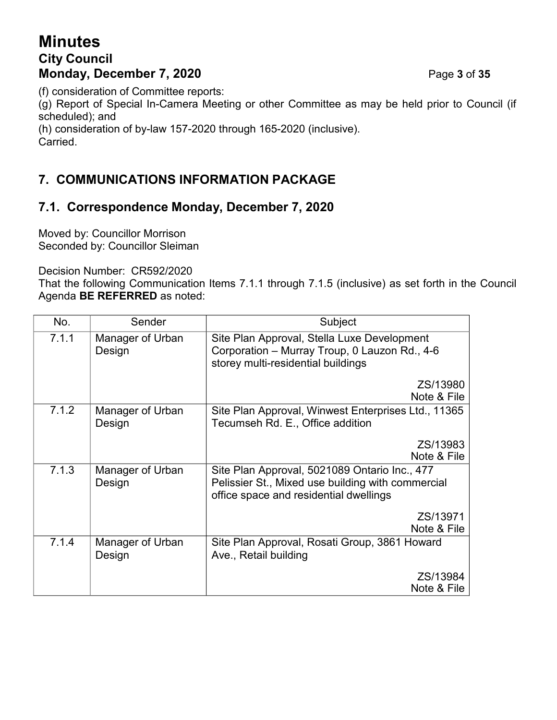## **Minutes City Council Monday, December 7, 2020 Page 3 of 35**

(f) consideration of Committee reports:

(g) Report of Special In-Camera Meeting or other Committee as may be held prior to Council (if scheduled); and

(h) consideration of by-law 157-2020 through 165-2020 (inclusive).

Carried.

## **7. COMMUNICATIONS INFORMATION PACKAGE**

## **7.1. Correspondence Monday, December 7, 2020**

Moved by: Councillor Morrison Seconded by: Councillor Sleiman

Decision Number: CR592/2020

That the following Communication Items 7.1.1 through 7.1.5 (inclusive) as set forth in the Council Agenda **BE REFERRED** as noted:

| No.   | Sender                     | Subject                                                                                                                                      |  |
|-------|----------------------------|----------------------------------------------------------------------------------------------------------------------------------------------|--|
| 7.1.1 | Manager of Urban<br>Design | Site Plan Approval, Stella Luxe Development<br>Corporation - Murray Troup, 0 Lauzon Rd., 4-6<br>storey multi-residential buildings           |  |
|       |                            | ZS/13980<br>Note & File                                                                                                                      |  |
| 7.1.2 | Manager of Urban<br>Design | Site Plan Approval, Winwest Enterprises Ltd., 11365<br>Tecumseh Rd. E., Office addition                                                      |  |
|       |                            | ZS/13983<br>Note & File                                                                                                                      |  |
| 7.1.3 | Manager of Urban<br>Design | Site Plan Approval, 5021089 Ontario Inc., 477<br>Pelissier St., Mixed use building with commercial<br>office space and residential dwellings |  |
|       |                            | ZS/13971<br>Note & File                                                                                                                      |  |
| 7.1.4 | Manager of Urban<br>Design | Site Plan Approval, Rosati Group, 3861 Howard<br>Ave., Retail building                                                                       |  |
|       |                            | ZS/13984<br>Note & File                                                                                                                      |  |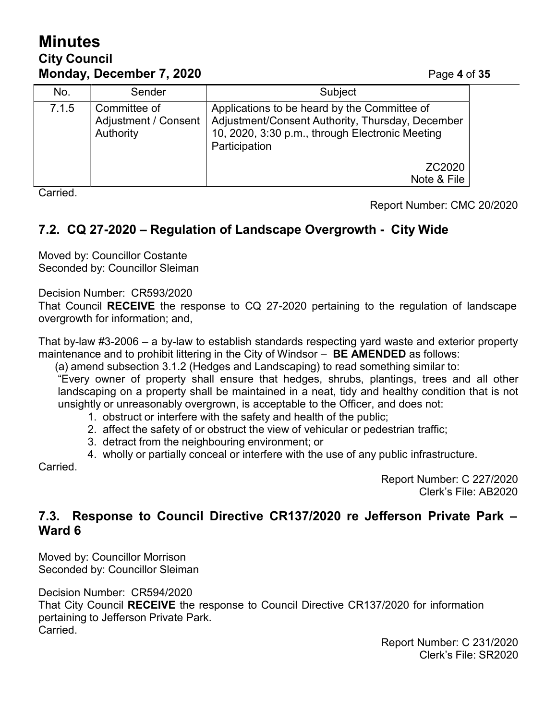## **Minutes City Council Monday, December 7, 2020 Page 4 of 35**

| No.   | Sender                                            | Subject                                                                                                                                                              |  |
|-------|---------------------------------------------------|----------------------------------------------------------------------------------------------------------------------------------------------------------------------|--|
| 7.1.5 | Committee of<br>Adjustment / Consent<br>Authority | Applications to be heard by the Committee of<br>Adjustment/Consent Authority, Thursday, December<br>10, 2020, 3:30 p.m., through Electronic Meeting<br>Participation |  |
|       |                                                   | ZC2020<br>Note & File                                                                                                                                                |  |

Carried.

Report Number: CMC 20/2020

## **7.2. CQ 27-2020 – Regulation of Landscape Overgrowth - City Wide**

Moved by: Councillor Costante Seconded by: Councillor Sleiman

Decision Number: CR593/2020

That Council **RECEIVE** the response to CQ 27-2020 pertaining to the regulation of landscape overgrowth for information; and,

That by-law #3-2006 – a by-law to establish standards respecting yard waste and exterior property maintenance and to prohibit littering in the City of Windsor – **BE AMENDED** as follows:

(a) amend subsection 3.1.2 (Hedges and Landscaping) to read something similar to:

"Every owner of property shall ensure that hedges, shrubs, plantings, trees and all other landscaping on a property shall be maintained in a neat, tidy and healthy condition that is not unsightly or unreasonably overgrown, is acceptable to the Officer, and does not:

- 1. obstruct or interfere with the safety and health of the public;
- 2. affect the safety of or obstruct the view of vehicular or pedestrian traffic;
- 3. detract from the neighbouring environment; or

4. wholly or partially conceal or interfere with the use of any public infrastructure. **Carried** 

> Report Number: C 227/2020 Clerk's File: AB2020

### **7.3. Response to Council Directive CR137/2020 re Jefferson Private Park – Ward 6**

Moved by: Councillor Morrison Seconded by: Councillor Sleiman

Decision Number: CR594/2020

That City Council **RECEIVE** the response to Council Directive CR137/2020 for information pertaining to Jefferson Private Park. Carried.

> Report Number: C 231/2020 Clerk's File: SR2020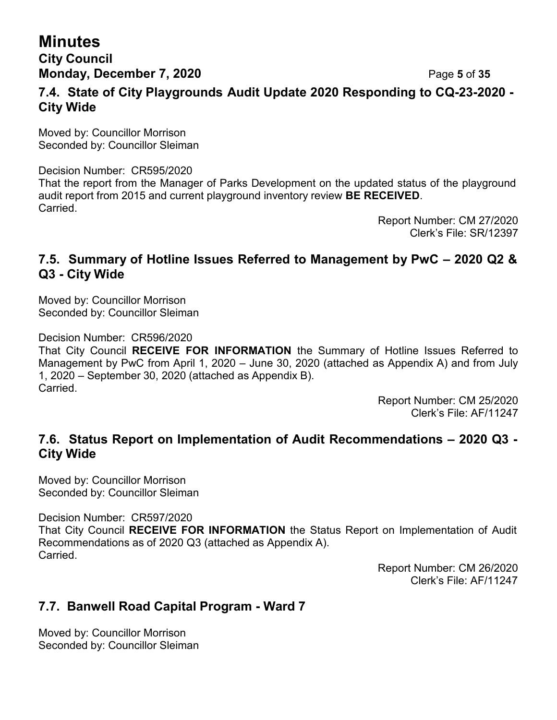**City Council Monday, December 7, 2020 Page 5** of 35

### **7.4. State of City Playgrounds Audit Update 2020 Responding to CQ-23-2020 - City Wide**

Moved by: Councillor Morrison Seconded by: Councillor Sleiman

Decision Number: CR595/2020 That the report from the Manager of Parks Development on the updated status of the playground audit report from 2015 and current playground inventory review **BE RECEIVED**. Carried.

Report Number: CM 27/2020 Clerk's File: SR/12397

### **7.5. Summary of Hotline Issues Referred to Management by PwC – 2020 Q2 & Q3 - City Wide**

Moved by: Councillor Morrison Seconded by: Councillor Sleiman

Decision Number: CR596/2020

That City Council **RECEIVE FOR INFORMATION** the Summary of Hotline Issues Referred to Management by PwC from April 1, 2020 – June 30, 2020 (attached as Appendix A) and from July 1, 2020 – September 30, 2020 (attached as Appendix B). Carried.

> Report Number: CM 25/2020 Clerk's File: AF/11247

### **7.6. Status Report on Implementation of Audit Recommendations – 2020 Q3 - City Wide**

Moved by: Councillor Morrison Seconded by: Councillor Sleiman

Decision Number: CR597/2020

That City Council **RECEIVE FOR INFORMATION** the Status Report on Implementation of Audit Recommendations as of 2020 Q3 (attached as Appendix A). Carried.

> Report Number: CM 26/2020 Clerk's File: AF/11247

### **7.7. Banwell Road Capital Program - Ward 7**

Moved by: Councillor Morrison Seconded by: Councillor Sleiman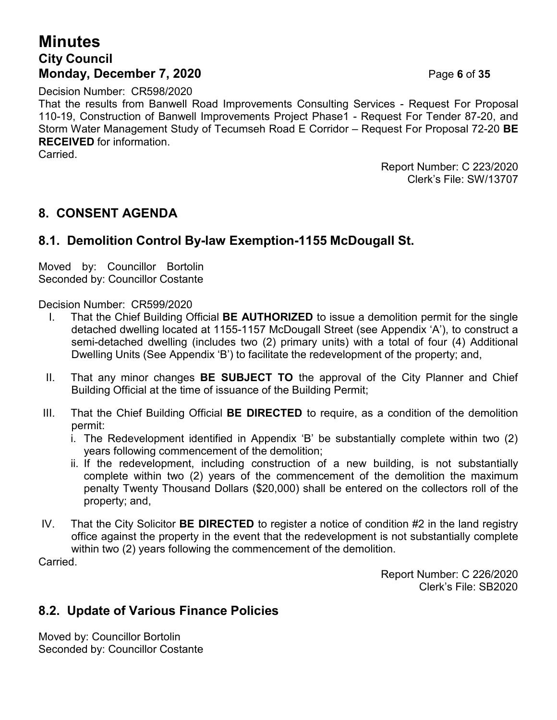## **Minutes City Council Monday, December 7, 2020 Page 6 of 35**

Decision Number: CR598/2020

That the results from Banwell Road Improvements Consulting Services - Request For Proposal 110-19, Construction of Banwell Improvements Project Phase1 - Request For Tender 87-20, and Storm Water Management Study of Tecumseh Road E Corridor – Request For Proposal 72-20 **BE RECEIVED** for information.

Carried.

Report Number: C 223/2020 Clerk's File: SW/13707

### **8. CONSENT AGENDA**

### **8.1. Demolition Control By-law Exemption-1155 McDougall St.**

Moved by: Councillor Bortolin Seconded by: Councillor Costante

Decision Number: CR599/2020

- I. That the Chief Building Official **BE AUTHORIZED** to issue a demolition permit for the single detached dwelling located at 1155-1157 McDougall Street (see Appendix 'A'), to construct a semi-detached dwelling (includes two (2) primary units) with a total of four (4) Additional Dwelling Units (See Appendix 'B') to facilitate the redevelopment of the property; and,
- II. That any minor changes **BE SUBJECT TO** the approval of the City Planner and Chief Building Official at the time of issuance of the Building Permit;
- III. That the Chief Building Official **BE DIRECTED** to require, as a condition of the demolition permit:
	- i. The Redevelopment identified in Appendix 'B' be substantially complete within two (2) years following commencement of the demolition;
	- ii. If the redevelopment, including construction of a new building, is not substantially complete within two (2) years of the commencement of the demolition the maximum penalty Twenty Thousand Dollars (\$20,000) shall be entered on the collectors roll of the property; and,
- IV. That the City Solicitor **BE DIRECTED** to register a notice of condition #2 in the land registry office against the property in the event that the redevelopment is not substantially complete within two (2) years following the commencement of the demolition.

Carried.

Report Number: C 226/2020 Clerk's File: SB2020

### **8.2. Update of Various Finance Policies**

Moved by: Councillor Bortolin Seconded by: Councillor Costante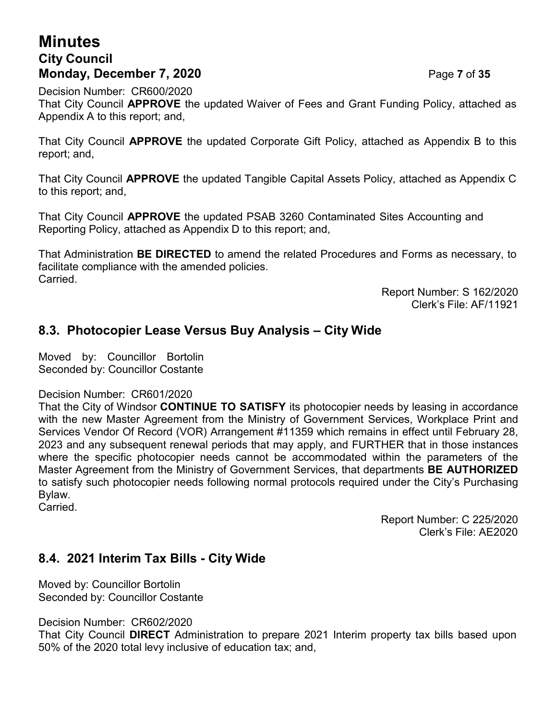## **Minutes City Council Monday, December 7, 2020 Page 7 of 35**

Decision Number: CR600/2020 That City Council **APPROVE** the updated Waiver of Fees and Grant Funding Policy, attached as Appendix A to this report; and,

That City Council **APPROVE** the updated Corporate Gift Policy, attached as Appendix B to this report; and,

That City Council **APPROVE** the updated Tangible Capital Assets Policy, attached as Appendix C to this report; and,

That City Council **APPROVE** the updated PSAB 3260 Contaminated Sites Accounting and Reporting Policy, attached as Appendix D to this report; and,

That Administration **BE DIRECTED** to amend the related Procedures and Forms as necessary, to facilitate compliance with the amended policies. Carried.

> Report Number: S 162/2020 Clerk's File: AF/11921

### **8.3. Photocopier Lease Versus Buy Analysis – City Wide**

Moved by: Councillor Bortolin Seconded by: Councillor Costante

Decision Number: CR601/2020

That the City of Windsor **CONTINUE TO SATISFY** its photocopier needs by leasing in accordance with the new Master Agreement from the Ministry of Government Services, Workplace Print and Services Vendor Of Record (VOR) Arrangement #11359 which remains in effect until February 28, 2023 and any subsequent renewal periods that may apply, and FURTHER that in those instances where the specific photocopier needs cannot be accommodated within the parameters of the Master Agreement from the Ministry of Government Services, that departments **BE AUTHORIZED** to satisfy such photocopier needs following normal protocols required under the City's Purchasing Bylaw.

Carried.

Report Number: C 225/2020 Clerk's File: AE2020

### **8.4. 2021 Interim Tax Bills - City Wide**

Moved by: Councillor Bortolin Seconded by: Councillor Costante

Decision Number: CR602/2020

That City Council **DIRECT** Administration to prepare 2021 Interim property tax bills based upon 50% of the 2020 total levy inclusive of education tax; and,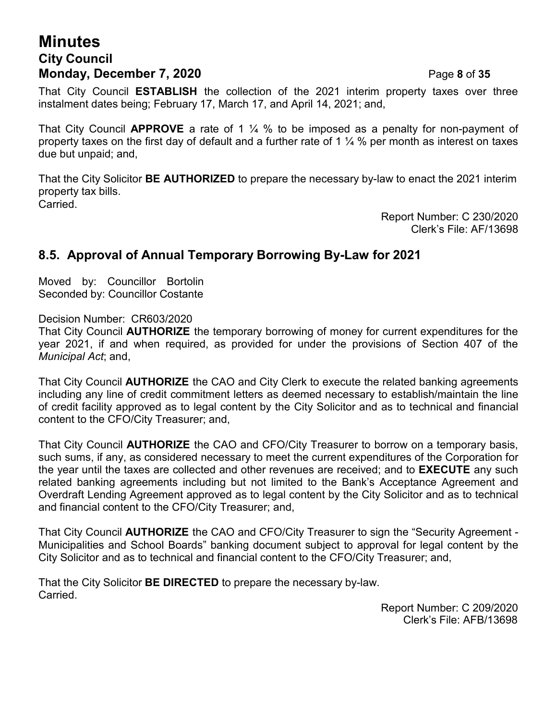### **Minutes City Council Monday, December 7, 2020 Page 8 of 35**

That City Council **ESTABLISH** the collection of the 2021 interim property taxes over three instalment dates being; February 17, March 17, and April 14, 2021; and,

That City Council **APPROVE** a rate of 1 ¼ % to be imposed as a penalty for non-payment of property taxes on the first day of default and a further rate of 1  $\frac{1}{4}$  % per month as interest on taxes due but unpaid; and,

That the City Solicitor **BE AUTHORIZED** to prepare the necessary by-law to enact the 2021 interim property tax bills. Carried.

> Report Number: C 230/2020 Clerk's File: AF/13698

### **8.5. Approval of Annual Temporary Borrowing By-Law for 2021**

Moved by: Councillor Bortolin Seconded by: Councillor Costante

Decision Number: CR603/2020

That City Council **AUTHORIZE** the temporary borrowing of money for current expenditures for the year 2021, if and when required, as provided for under the provisions of Section 407 of the *Municipal Act*; and,

That City Council **AUTHORIZE** the CAO and City Clerk to execute the related banking agreements including any line of credit commitment letters as deemed necessary to establish/maintain the line of credit facility approved as to legal content by the City Solicitor and as to technical and financial content to the CFO/City Treasurer; and,

That City Council **AUTHORIZE** the CAO and CFO/City Treasurer to borrow on a temporary basis, such sums, if any, as considered necessary to meet the current expenditures of the Corporation for the year until the taxes are collected and other revenues are received; and to **EXECUTE** any such related banking agreements including but not limited to the Bank's Acceptance Agreement and Overdraft Lending Agreement approved as to legal content by the City Solicitor and as to technical and financial content to the CFO/City Treasurer; and,

That City Council **AUTHORIZE** the CAO and CFO/City Treasurer to sign the "Security Agreement - Municipalities and School Boards" banking document subject to approval for legal content by the City Solicitor and as to technical and financial content to the CFO/City Treasurer; and,

That the City Solicitor **BE DIRECTED** to prepare the necessary by-law. Carried.

Report Number: C 209/2020 Clerk's File: AFB/13698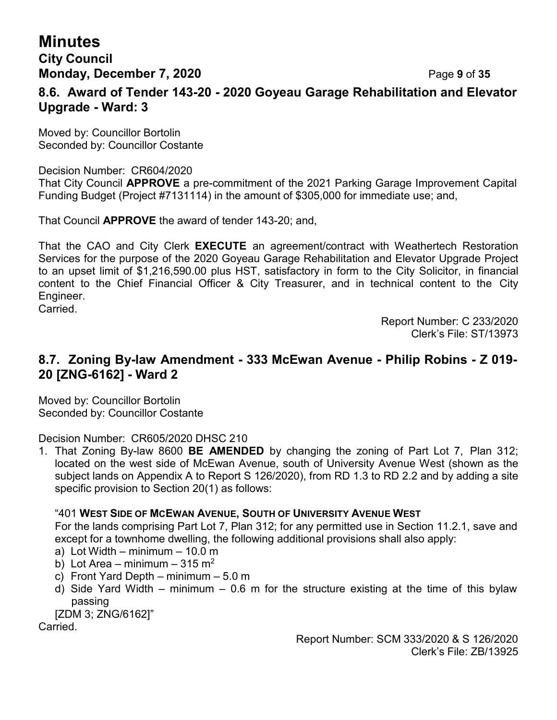### **City Council Monday, December 7, 2020 Page 9 of 35**

### **8.6. Award of Tender 143-20 - 2020 Goyeau Garage Rehabilitation and Elevator Upgrade - Ward: 3**

Moved by: Councillor Bortolin Seconded by: Councillor Costante

### Decision Number: CR604/2020

That City Council **APPROVE** a pre-commitment of the 2021 Parking Garage Improvement Capital Funding Budget (Project #7131114) in the amount of \$305,000 for immediate use; and,

That Council **APPROVE** the award of tender 143-20; and,

That the CAO and City Clerk **EXECUTE** an agreement/contract with Weathertech Restoration Services for the purpose of the 2020 Goyeau Garage Rehabilitation and Elevator Upgrade Project to an upset limit of \$1,216,590.00 plus HST, satisfactory in form to the City Solicitor, in financial content to the Chief Financial Officer & City Treasurer, and in technical content to the City Engineer.

Carried.

Report Number: C 233/2020 Clerk's File: ST/13973

### **8.7. Zoning By-law Amendment - 333 McEwan Avenue - Philip Robins - Z 019- 20 [ZNG-6162] - Ward 2**

Moved by: Councillor Bortolin Seconded by: Councillor Costante

Decision Number: CR605/2020 DHSC 210

1. That Zoning By-law 8600 **BE AMENDED** by changing the zoning of Part Lot 7, Plan 312; located on the west side of McEwan Avenue, south of University Avenue West (shown as the subject lands on Appendix A to Report S 126/2020), from RD 1.3 to RD 2.2 and by adding a site specific provision to Section 20(1) as follows:

### "401 **WEST SIDE OF MCEWAN AVENUE, SOUTH OF UNIVERSITY AVENUE WEST**

For the lands comprising Part Lot 7, Plan 312; for any permitted use in Section 11.2.1, save and except for a townhome dwelling, the following additional provisions shall also apply:

- a) Lot Width minimum 10.0 m
- b) Lot Area minimum 315 m<sup>2</sup>
- c) Front Yard Depth minimum 5.0 m
- d) Side Yard Width minimum 0.6 m for the structure existing at the time of this bylaw passing
- [ZDM 3; ZNG/6162]"

Carried.

Report Number: SCM 333/2020 & S 126/2020 Clerk's File: ZB/13925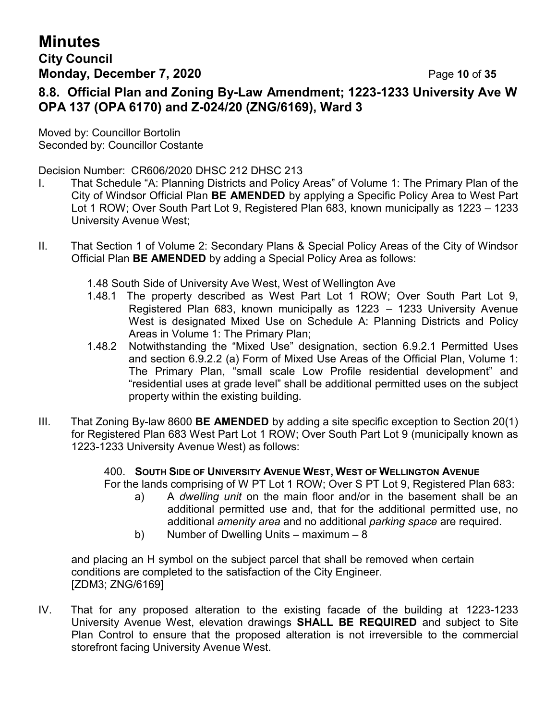### **City Council Monday, December 7, 2020 Page 10 of 35**

**8.8. Official Plan and Zoning By-Law Amendment; 1223-1233 University Ave W OPA 137 (OPA 6170) and Z-024/20 (ZNG/6169), Ward 3**

Moved by: Councillor Bortolin Seconded by: Councillor Costante

Decision Number: CR606/2020 DHSC 212 DHSC 213

- I. That Schedule "A: Planning Districts and Policy Areas" of Volume 1: The Primary Plan of the City of Windsor Official Plan **BE AMENDED** by applying a Specific Policy Area to West Part Lot 1 ROW; Over South Part Lot 9, Registered Plan 683, known municipally as 1223 – 1233 University Avenue West;
- II. That Section 1 of Volume 2: Secondary Plans & Special Policy Areas of the City of Windsor Official Plan **BE AMENDED** by adding a Special Policy Area as follows:
	- 1.48 South Side of University Ave West, West of Wellington Ave
	- 1.48.1 The property described as West Part Lot 1 ROW; Over South Part Lot 9, Registered Plan 683, known municipally as 1223 – 1233 University Avenue West is designated Mixed Use on Schedule A: Planning Districts and Policy Areas in Volume 1: The Primary Plan;
	- 1.48.2 Notwithstanding the "Mixed Use" designation, section 6.9.2.1 Permitted Uses and section 6.9.2.2 (a) Form of Mixed Use Areas of the Official Plan, Volume 1: The Primary Plan, "small scale Low Profile residential development" and "residential uses at grade level" shall be additional permitted uses on the subject property within the existing building.
- III. That Zoning By-law 8600 **BE AMENDED** by adding a site specific exception to Section 20(1) for Registered Plan 683 West Part Lot 1 ROW; Over South Part Lot 9 (municipally known as 1223-1233 University Avenue West) as follows:

400. **SOUTH SIDE OF UNIVERSITY AVENUE WEST, WEST OF WELLINGTON AVENUE**

- For the lands comprising of W PT Lot 1 ROW; Over S PT Lot 9, Registered Plan 683: a) A *dwelling unit* on the main floor and/or in the basement shall be an additional permitted use and, that for the additional permitted use, no additional *amenity area* and no additional *parking space* are required.
	- b) Number of Dwelling Units maximum 8

and placing an H symbol on the subject parcel that shall be removed when certain conditions are completed to the satisfaction of the City Engineer. [ZDM3; ZNG/6169]

IV. That for any proposed alteration to the existing facade of the building at 1223-1233 University Avenue West, elevation drawings **SHALL BE REQUIRED** and subject to Site Plan Control to ensure that the proposed alteration is not irreversible to the commercial storefront facing University Avenue West.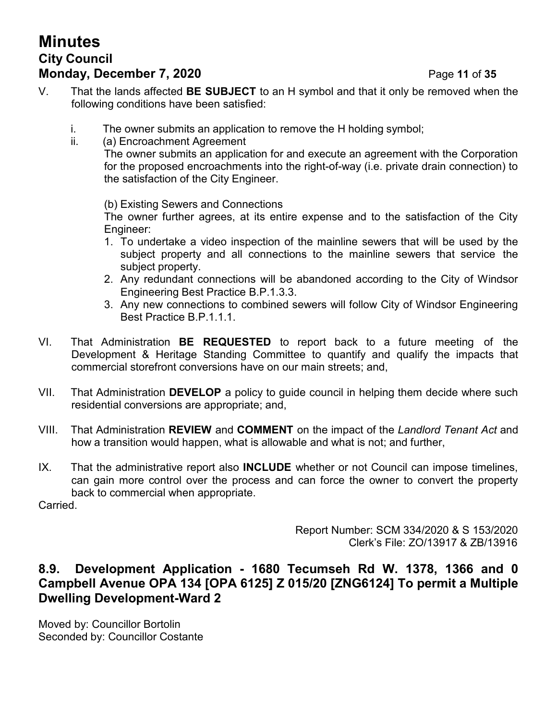## **Minutes City Council Monday, December 7, 2020 Page 11 of 35**

i. The owner submits an application to remove the H holding symbol;

### ii. (a) Encroachment Agreement The owner submits an application for and execute an agreement with the Corporation for the proposed encroachments into the right-of-way (i.e. private drain connection) to the satisfaction of the City Engineer.

(b) Existing Sewers and Connections

The owner further agrees, at its entire expense and to the satisfaction of the City Engineer:

- 1. To undertake a video inspection of the mainline sewers that will be used by the subject property and all connections to the mainline sewers that service the subject property.
- 2. Any redundant connections will be abandoned according to the City of Windsor Engineering Best Practice B.P.1.3.3.
- 3. Any new connections to combined sewers will follow City of Windsor Engineering Best Practice B.P.1.1.1.
- VI. That Administration **BE REQUESTED** to report back to a future meeting of the Development & Heritage Standing Committee to quantify and qualify the impacts that commercial storefront conversions have on our main streets; and,
- VII. That Administration **DEVELOP** a policy to guide council in helping them decide where such residential conversions are appropriate; and,
- VIII. That Administration **REVIEW** and **COMMENT** on the impact of the *Landlord Tenant Act* and how a transition would happen, what is allowable and what is not; and further,
- IX. That the administrative report also **INCLUDE** whether or not Council can impose timelines, can gain more control over the process and can force the owner to convert the property back to commercial when appropriate.

Carried.

Report Number: SCM 334/2020 & S 153/2020 Clerk's File: ZO/13917 & ZB/13916

### **8.9. Development Application - 1680 Tecumseh Rd W. 1378, 1366 and 0 Campbell Avenue OPA 134 [OPA 6125] Z 015/20 [ZNG6124] To permit a Multiple Dwelling Development-Ward 2**

Moved by: Councillor Bortolin Seconded by: Councillor Costante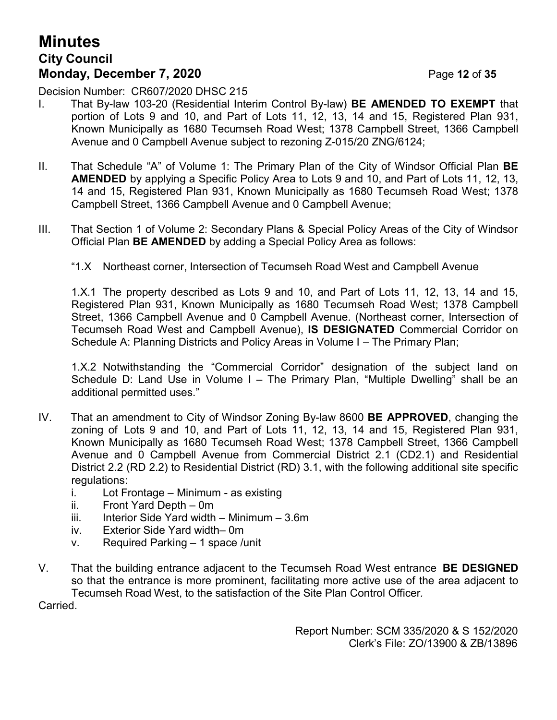## **Minutes City Council Monday, December 7, 2020 Page 12 of 35**

Decision Number: CR607/2020 DHSC 215

- I. That By-law 103-20 (Residential Interim Control By-law) **BE AMENDED TO EXEMPT** that portion of Lots 9 and 10, and Part of Lots 11, 12, 13, 14 and 15, Registered Plan 931, Known Municipally as 1680 Tecumseh Road West; 1378 Campbell Street, 1366 Campbell Avenue and 0 Campbell Avenue subject to rezoning Z-015/20 ZNG/6124;
- II. That Schedule "A" of Volume 1: The Primary Plan of the City of Windsor Official Plan **BE AMENDED** by applying a Specific Policy Area to Lots 9 and 10, and Part of Lots 11, 12, 13, 14 and 15, Registered Plan 931, Known Municipally as 1680 Tecumseh Road West; 1378 Campbell Street, 1366 Campbell Avenue and 0 Campbell Avenue;
- III. That Section 1 of Volume 2: Secondary Plans & Special Policy Areas of the City of Windsor Official Plan **BE AMENDED** by adding a Special Policy Area as follows:
	- "1.X Northeast corner, Intersection of Tecumseh Road West and Campbell Avenue

1.X.1 The property described as Lots 9 and 10, and Part of Lots 11, 12, 13, 14 and 15, Registered Plan 931, Known Municipally as 1680 Tecumseh Road West; 1378 Campbell Street, 1366 Campbell Avenue and 0 Campbell Avenue. (Northeast corner, Intersection of Tecumseh Road West and Campbell Avenue), **IS DESIGNATED** Commercial Corridor on Schedule A: Planning Districts and Policy Areas in Volume I – The Primary Plan;

1.X.2 Notwithstanding the "Commercial Corridor" designation of the subject land on Schedule D: Land Use in Volume I – The Primary Plan, "Multiple Dwelling" shall be an additional permitted uses."

- IV. That an amendment to City of Windsor Zoning By-law 8600 **BE APPROVED**, changing the zoning of Lots 9 and 10, and Part of Lots 11, 12, 13, 14 and 15, Registered Plan 931, Known Municipally as 1680 Tecumseh Road West; 1378 Campbell Street, 1366 Campbell Avenue and 0 Campbell Avenue from Commercial District 2.1 (CD2.1) and Residential District 2.2 (RD 2.2) to Residential District (RD) 3.1, with the following additional site specific regulations:
	- i. Lot Frontage Minimum as existing
	- ii. Front Yard Depth 0m
	- iii. Interior Side Yard width Minimum  $3.6m$
	- iv. Exterior Side Yard width– 0m
	- v. Required Parking 1 space /unit
- V. That the building entrance adjacent to the Tecumseh Road West entrance **BE DESIGNED** so that the entrance is more prominent, facilitating more active use of the area adjacent to Tecumseh Road West, to the satisfaction of the Site Plan Control Officer*.*

Carried.

Report Number: SCM 335/2020 & S 152/2020 Clerk's File: ZO/13900 & ZB/13896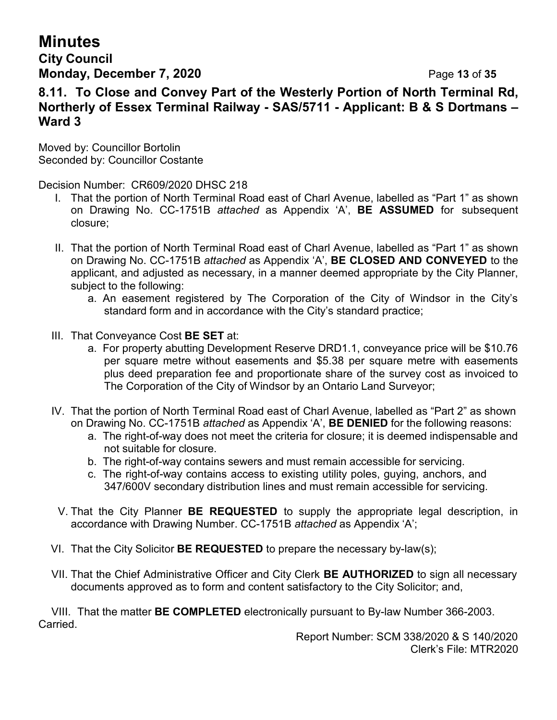## **City Council Monday, December 7, 2020 Page 13 of 35**

### **8.11. To Close and Convey Part of the Westerly Portion of North Terminal Rd, Northerly of Essex Terminal Railway - SAS/5711 - Applicant: B & S Dortmans – Ward 3**

Moved by: Councillor Bortolin Seconded by: Councillor Costante

Decision Number: CR609/2020 DHSC 218

- I. That the portion of North Terminal Road east of Charl Avenue, labelled as "Part 1" as shown on Drawing No. CC-1751B *attached* as Appendix 'A', **BE ASSUMED** for subsequent closure;
- II. That the portion of North Terminal Road east of Charl Avenue, labelled as "Part 1" as shown on Drawing No. CC-1751B *attached* as Appendix 'A', **BE CLOSED AND CONVEYED** to the applicant, and adjusted as necessary, in a manner deemed appropriate by the City Planner, subject to the following:
	- a. An easement registered by The Corporation of the City of Windsor in the City's standard form and in accordance with the City's standard practice;
- III. That Conveyance Cost **BE SET** at:
	- a. For property abutting Development Reserve DRD1.1, conveyance price will be \$10.76 per square metre without easements and \$5.38 per square metre with easements plus deed preparation fee and proportionate share of the survey cost as invoiced to The Corporation of the City of Windsor by an Ontario Land Surveyor;
- IV. That the portion of North Terminal Road east of Charl Avenue, labelled as "Part 2" as shown on Drawing No. CC-1751B *attached* as Appendix 'A', **BE DENIED** for the following reasons:
	- a. The right-of-way does not meet the criteria for closure; it is deemed indispensable and not suitable for closure.
	- b. The right-of-way contains sewers and must remain accessible for servicing.
	- c. The right-of-way contains access to existing utility poles, guying, anchors, and 347/600V secondary distribution lines and must remain accessible for servicing.
- V. That the City Planner **BE REQUESTED** to supply the appropriate legal description, in accordance with Drawing Number. CC-1751B *attached* as Appendix 'A';
- VI. That the City Solicitor **BE REQUESTED** to prepare the necessary by-law(s);
- VII. That the Chief Administrative Officer and City Clerk **BE AUTHORIZED** to sign all necessary documents approved as to form and content satisfactory to the City Solicitor; and,

VIII. That the matter **BE COMPLETED** electronically pursuant to By-law Number 366-2003. Carried.

Report Number: SCM 338/2020 & S 140/2020 Clerk's File: MTR2020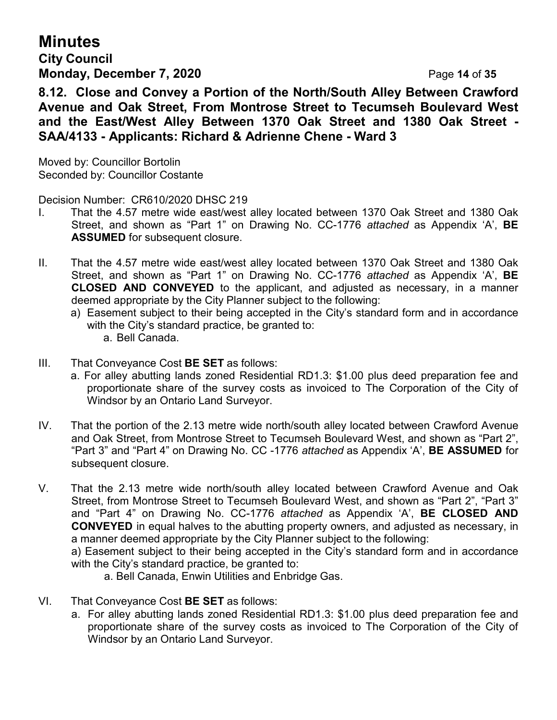**City Council Monday, December 7, 2020 Page 14 of 35** 

**8.12. Close and Convey a Portion of the North/South Alley Between Crawford Avenue and Oak Street, From Montrose Street to Tecumseh Boulevard West and the East/West Alley Between 1370 Oak Street and 1380 Oak Street - SAA/4133 - Applicants: Richard & Adrienne Chene - Ward 3**

Moved by: Councillor Bortolin Seconded by: Councillor Costante

Decision Number: CR610/2020 DHSC 219

- I. That the 4.57 metre wide east/west alley located between 1370 Oak Street and 1380 Oak Street, and shown as "Part 1" on Drawing No. CC-1776 *attached* as Appendix 'A', **BE ASSUMED** for subsequent closure.
- II. That the 4.57 metre wide east/west alley located between 1370 Oak Street and 1380 Oak Street, and shown as "Part 1" on Drawing No. CC-1776 *attached* as Appendix 'A', **BE CLOSED AND CONVEYED** to the applicant, and adjusted as necessary, in a manner deemed appropriate by the City Planner subject to the following:
	- a) Easement subject to their being accepted in the City's standard form and in accordance with the City's standard practice, be granted to: a. Bell Canada.
- III. That Conveyance Cost **BE SET** as follows:
	- a. For alley abutting lands zoned Residential RD1.3: \$1.00 plus deed preparation fee and proportionate share of the survey costs as invoiced to The Corporation of the City of Windsor by an Ontario Land Surveyor.
- IV. That the portion of the 2.13 metre wide north/south alley located between Crawford Avenue and Oak Street, from Montrose Street to Tecumseh Boulevard West, and shown as "Part 2", "Part 3" and "Part 4" on Drawing No. CC -1776 *attached* as Appendix 'A', **BE ASSUMED** for subsequent closure.

V. That the 2.13 metre wide north/south alley located between Crawford Avenue and Oak Street, from Montrose Street to Tecumseh Boulevard West, and shown as "Part 2", "Part 3" and "Part 4" on Drawing No. CC-1776 *attached* as Appendix 'A', **BE CLOSED AND CONVEYED** in equal halves to the abutting property owners, and adjusted as necessary, in a manner deemed appropriate by the City Planner subject to the following:

a) Easement subject to their being accepted in the City's standard form and in accordance with the City's standard practice, be granted to:

a. Bell Canada, Enwin Utilities and Enbridge Gas.

- VI. That Conveyance Cost **BE SET** as follows:
	- a. For alley abutting lands zoned Residential RD1.3: \$1.00 plus deed preparation fee and proportionate share of the survey costs as invoiced to The Corporation of the City of Windsor by an Ontario Land Surveyor.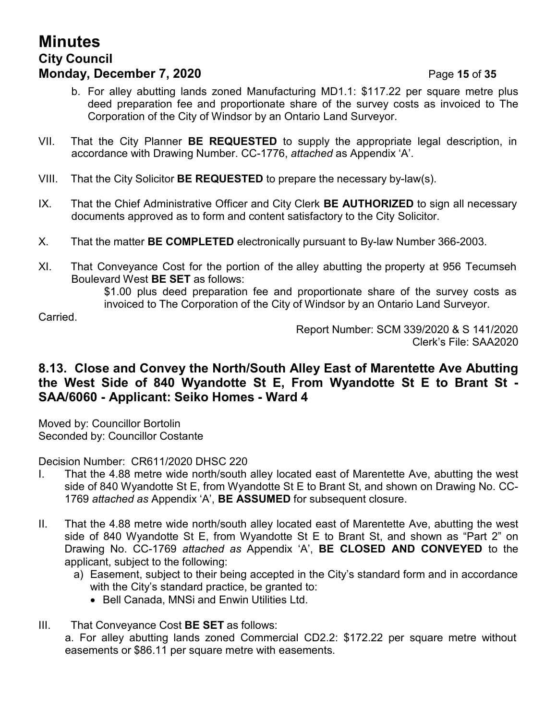## **Minutes City Council Monday, December 7, 2020 Page 15 of 35**

- b. For alley abutting lands zoned Manufacturing MD1.1: \$117.22 per square metre plus deed preparation fee and proportionate share of the survey costs as invoiced to The Corporation of the City of Windsor by an Ontario Land Surveyor.
- VII. That the City Planner **BE REQUESTED** to supply the appropriate legal description, in accordance with Drawing Number. CC-1776, *attached* as Appendix 'A'.
- VIII. That the City Solicitor **BE REQUESTED** to prepare the necessary by-law(s).
- IX. That the Chief Administrative Officer and City Clerk **BE AUTHORIZED** to sign all necessary documents approved as to form and content satisfactory to the City Solicitor.
- X. That the matter **BE COMPLETED** electronically pursuant to By-law Number 366-2003.
- XI. That Conveyance Cost for the portion of the alley abutting the property at 956 Tecumseh Boulevard West **BE SET** as follows:

\$1.00 plus deed preparation fee and proportionate share of the survey costs as invoiced to The Corporation of the City of Windsor by an Ontario Land Surveyor.

**Carried** 

Report Number: SCM 339/2020 & S 141/2020 Clerk's File: SAA2020

### **8.13. Close and Convey the North/South Alley East of Marentette Ave Abutting the West Side of 840 Wyandotte St E, From Wyandotte St E to Brant St - SAA/6060 - Applicant: Seiko Homes - Ward 4**

Moved by: Councillor Bortolin Seconded by: Councillor Costante

Decision Number: CR611/2020 DHSC 220

- I. That the 4.88 metre wide north/south alley located east of Marentette Ave, abutting the west side of 840 Wyandotte St E, from Wyandotte St E to Brant St, and shown on Drawing No. CC-1769 *attached as* Appendix 'A', **BE ASSUMED** for subsequent closure.
- II. That the 4.88 metre wide north/south alley located east of Marentette Ave, abutting the west side of 840 Wyandotte St E, from Wyandotte St E to Brant St, and shown as "Part 2" on Drawing No. CC-1769 *attached as* Appendix 'A', **BE CLOSED AND CONVEYED** to the applicant, subject to the following:
	- a) Easement, subject to their being accepted in the City's standard form and in accordance with the City's standard practice, be granted to:
		- Bell Canada, MNSi and Enwin Utilities Ltd.
- III. That Conveyance Cost **BE SET** as follows:

a. For alley abutting lands zoned Commercial CD2.2: \$172.22 per square metre without easements or \$86.11 per square metre with easements.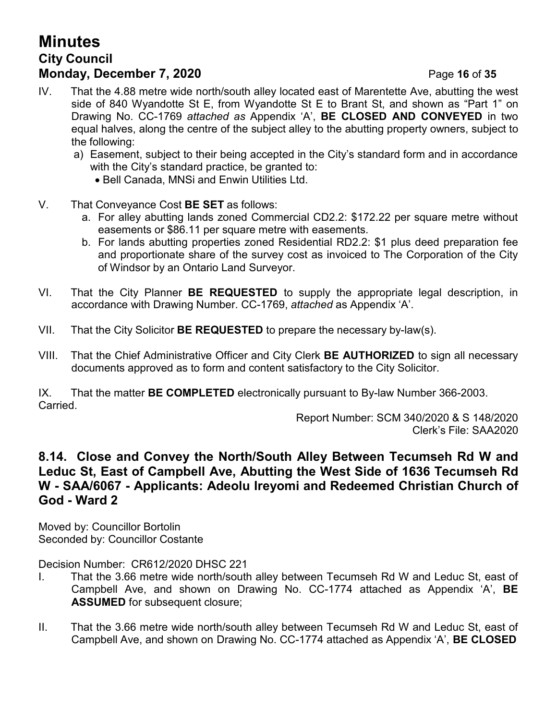## **Minutes City Council Monday, December 7, 2020 Page 16 of 35**

- IV. That the 4.88 metre wide north/south alley located east of Marentette Ave, abutting the west side of 840 Wyandotte St E, from Wyandotte St E to Brant St, and shown as "Part 1" on Drawing No. CC-1769 *attached as* Appendix 'A', **BE CLOSED AND CONVEYED** in two equal halves, along the centre of the subject alley to the abutting property owners, subject to the following:
	- a) Easement, subject to their being accepted in the City's standard form and in accordance with the City's standard practice, be granted to:
		- Bell Canada, MNSi and Enwin Utilities Ltd.
- V. That Conveyance Cost **BE SET** as follows:
	- a. For alley abutting lands zoned Commercial CD2.2: \$172.22 per square metre without easements or \$86.11 per square metre with easements.
	- b. For lands abutting properties zoned Residential RD2.2: \$1 plus deed preparation fee and proportionate share of the survey cost as invoiced to The Corporation of the City of Windsor by an Ontario Land Surveyor.
- VI. That the City Planner **BE REQUESTED** to supply the appropriate legal description, in accordance with Drawing Number. CC-1769, *attached* as Appendix 'A'.
- VII. That the City Solicitor **BE REQUESTED** to prepare the necessary by-law(s).
- VIII. That the Chief Administrative Officer and City Clerk **BE AUTHORIZED** to sign all necessary documents approved as to form and content satisfactory to the City Solicitor.

IX. That the matter **BE COMPLETED** electronically pursuant to By-law Number 366-2003. Carried.

Report Number: SCM 340/2020 & S 148/2020 Clerk's File: SAA2020

### **8.14. Close and Convey the North/South Alley Between Tecumseh Rd W and Leduc St, East of Campbell Ave, Abutting the West Side of 1636 Tecumseh Rd W - SAA/6067 - Applicants: Adeolu Ireyomi and Redeemed Christian Church of God - Ward 2**

Moved by: Councillor Bortolin Seconded by: Councillor Costante

Decision Number: CR612/2020 DHSC 221

- I. That the 3.66 metre wide north/south alley between Tecumseh Rd W and Leduc St, east of Campbell Ave, and shown on Drawing No. CC-1774 attached as Appendix 'A', **BE ASSUMED** for subsequent closure;
- II. That the 3.66 metre wide north/south alley between Tecumseh Rd W and Leduc St, east of Campbell Ave, and shown on Drawing No. CC-1774 attached as Appendix 'A', **BE CLOSED**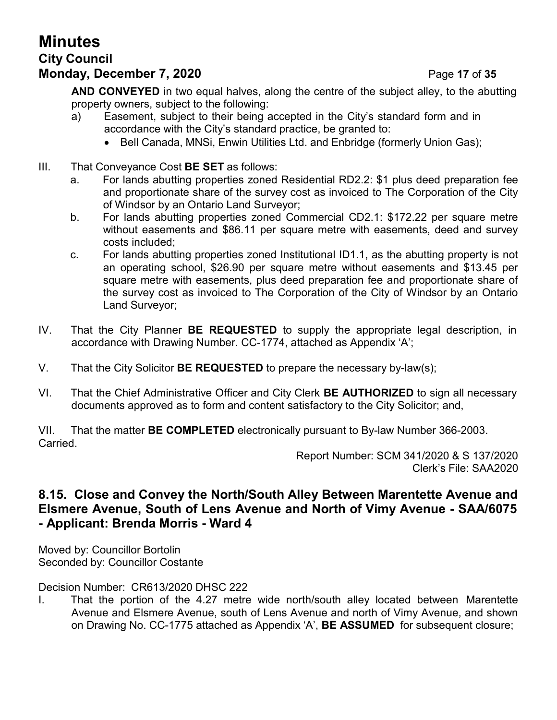# **City Council**

## **Monday, December 7, 2020 Page 17 of 35**

- a) Easement, subject to their being accepted in the City's standard form and in accordance with the City's standard practice, be granted to:
	- Bell Canada, MNSi, Enwin Utilities Ltd. and Enbridge (formerly Union Gas);
- III. That Conveyance Cost **BE SET** as follows:
	- a. For lands abutting properties zoned Residential RD2.2: \$1 plus deed preparation fee and proportionate share of the survey cost as invoiced to The Corporation of the City of Windsor by an Ontario Land Surveyor;
	- b. For lands abutting properties zoned Commercial CD2.1: \$172.22 per square metre without easements and \$86.11 per square metre with easements, deed and survey costs included;
	- c. For lands abutting properties zoned Institutional ID1.1, as the abutting property is not an operating school, \$26.90 per square metre without easements and \$13.45 per square metre with easements, plus deed preparation fee and proportionate share of the survey cost as invoiced to The Corporation of the City of Windsor by an Ontario Land Surveyor;
- IV. That the City Planner **BE REQUESTED** to supply the appropriate legal description, in accordance with Drawing Number. CC-1774, attached as Appendix 'A';
- V. That the City Solicitor **BE REQUESTED** to prepare the necessary by-law(s);
- VI. That the Chief Administrative Officer and City Clerk **BE AUTHORIZED** to sign all necessary documents approved as to form and content satisfactory to the City Solicitor; and,

VII. That the matter **BE COMPLETED** electronically pursuant to By-law Number 366-2003. Carried.

Report Number: SCM 341/2020 & S 137/2020 Clerk's File: SAA2020

## **8.15. Close and Convey the North/South Alley Between Marentette Avenue and Elsmere Avenue, South of Lens Avenue and North of Vimy Avenue - SAA/6075 - Applicant: Brenda Morris - Ward 4**

Moved by: Councillor Bortolin Seconded by: Councillor Costante

Decision Number: CR613/2020 DHSC 222

I. That the portion of the 4.27 metre wide north/south alley located between Marentette Avenue and Elsmere Avenue, south of Lens Avenue and north of Vimy Avenue, and shown on Drawing No. CC-1775 attached as Appendix 'A', **BE ASSUMED** for subsequent closure;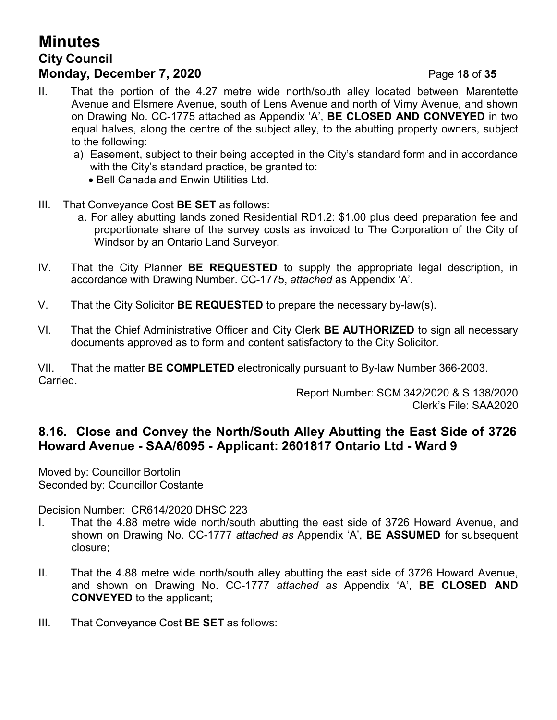## **Minutes City Council Monday, December 7, 2020 Page 18 of 35**

- II. That the portion of the 4.27 metre wide north/south alley located between Marentette Avenue and Elsmere Avenue, south of Lens Avenue and north of Vimy Avenue, and shown on Drawing No. CC-1775 attached as Appendix 'A', **BE CLOSED AND CONVEYED** in two equal halves, along the centre of the subject alley, to the abutting property owners, subject to the following:
	- a) Easement, subject to their being accepted in the City's standard form and in accordance with the City's standard practice, be granted to:
		- Bell Canada and Enwin Utilities Ltd.
- III. That Conveyance Cost **BE SET** as follows:
	- a. For alley abutting lands zoned Residential RD1.2: \$1.00 plus deed preparation fee and proportionate share of the survey costs as invoiced to The Corporation of the City of Windsor by an Ontario Land Surveyor.
- IV. That the City Planner **BE REQUESTED** to supply the appropriate legal description, in accordance with Drawing Number. CC-1775, *attached* as Appendix 'A'.
- V. That the City Solicitor **BE REQUESTED** to prepare the necessary by-law(s).
- VI. That the Chief Administrative Officer and City Clerk **BE AUTHORIZED** to sign all necessary documents approved as to form and content satisfactory to the City Solicitor.

VII. That the matter **BE COMPLETED** electronically pursuant to By-law Number 366-2003. Carried.

Report Number: SCM 342/2020 & S 138/2020 Clerk's File: SAA2020

## **8.16. Close and Convey the North/South Alley Abutting the East Side of 3726 Howard Avenue - SAA/6095 - Applicant: 2601817 Ontario Ltd - Ward 9**

Moved by: Councillor Bortolin Seconded by: Councillor Costante

Decision Number: CR614/2020 DHSC 223

- I. That the 4.88 metre wide north/south abutting the east side of 3726 Howard Avenue, and shown on Drawing No. CC-1777 *attached as* Appendix 'A', **BE ASSUMED** for subsequent closure;
- II. That the 4.88 metre wide north/south alley abutting the east side of 3726 Howard Avenue, and shown on Drawing No. CC-1777 *attached as* Appendix 'A', **BE CLOSED AND CONVEYED** to the applicant;
- III. That Conveyance Cost **BE SET** as follows: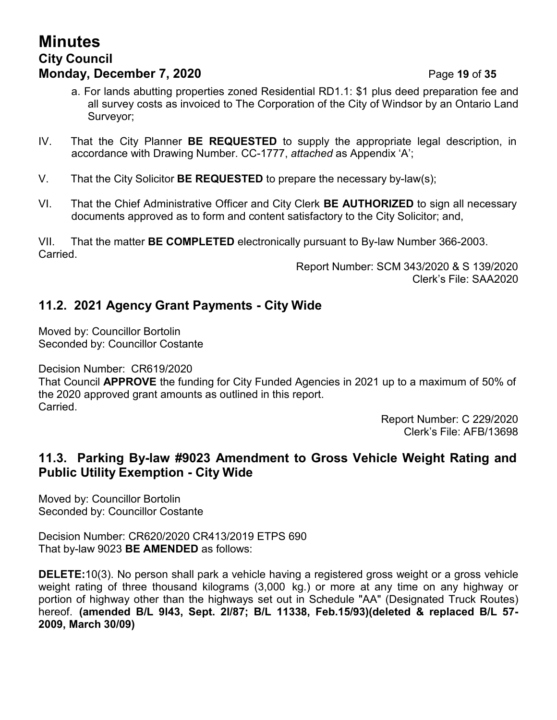## **Minutes City Council Monday, December 7, 2020 Page 19 of 35**

- a. For lands abutting properties zoned Residential RD1.1: \$1 plus deed preparation fee and all survey costs as invoiced to The Corporation of the City of Windsor by an Ontario Land Surveyor;
- IV. That the City Planner **BE REQUESTED** to supply the appropriate legal description, in accordance with Drawing Number. CC-1777, *attached* as Appendix 'A';
- V. That the City Solicitor **BE REQUESTED** to prepare the necessary by-law(s);
- VI. That the Chief Administrative Officer and City Clerk **BE AUTHORIZED** to sign all necessary documents approved as to form and content satisfactory to the City Solicitor; and,

VII. That the matter **BE COMPLETED** electronically pursuant to By-law Number 366-2003. Carried.

> Report Number: SCM 343/2020 & S 139/2020 Clerk's File: SAA2020

### **11.2. 2021 Agency Grant Payments - City Wide**

Moved by: Councillor Bortolin Seconded by: Councillor Costante

Decision Number: CR619/2020

That Council **APPROVE** the funding for City Funded Agencies in 2021 up to a maximum of 50% of the 2020 approved grant amounts as outlined in this report. Carried.

> Report Number: C 229/2020 Clerk's File: AFB/13698

### **11.3. Parking By-law #9023 Amendment to Gross Vehicle Weight Rating and Public Utility Exemption - City Wide**

Moved by: Councillor Bortolin Seconded by: Councillor Costante

Decision Number: CR620/2020 CR413/2019 ETPS 690 That by-law 9023 **BE AMENDED** as follows:

**DELETE:**10(3). No person shall park a vehicle having a registered gross weight or a gross vehicle weight rating of three thousand kilograms (3,000 kg.) or more at any time on any highway or portion of highway other than the highways set out in Schedule "AA" (Designated Truck Routes) hereof. **(amended B/L 9l43, Sept. 2l/87; B/L 11338, Feb.15/93)(deleted & replaced B/L 57- 2009, March 30/09)**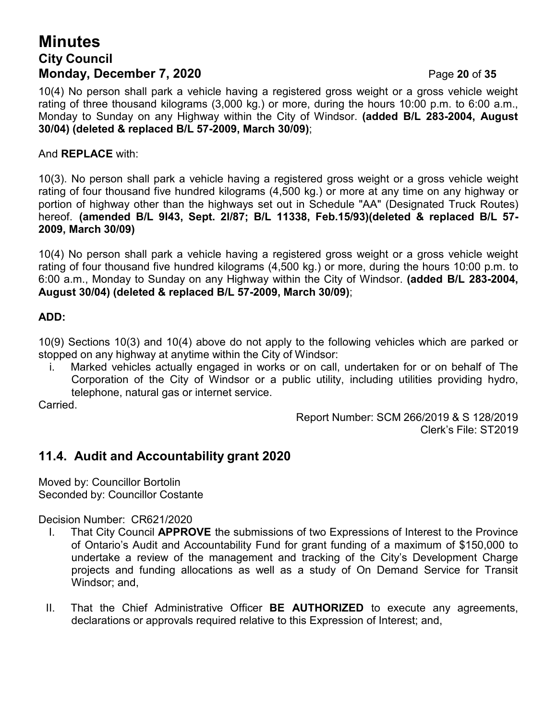## **Minutes City Council Monday, December 7, 2020 Page 20 of 35**

10(4) No person shall park a vehicle having a registered gross weight or a gross vehicle weight rating of three thousand kilograms (3,000 kg.) or more, during the hours 10:00 p.m. to 6:00 a.m., Monday to Sunday on any Highway within the City of Windsor. **(added B/L 283-2004, August 30/04) (deleted & replaced B/L 57-2009, March 30/09)**;

### And **REPLACE** with:

10(3). No person shall park a vehicle having a registered gross weight or a gross vehicle weight rating of four thousand five hundred kilograms (4,500 kg.) or more at any time on any highway or portion of highway other than the highways set out in Schedule "AA" (Designated Truck Routes) hereof. **(amended B/L 9l43, Sept. 2l/87; B/L 11338, Feb.15/93)(deleted & replaced B/L 57- 2009, March 30/09)**

10(4) No person shall park a vehicle having a registered gross weight or a gross vehicle weight rating of four thousand five hundred kilograms (4,500 kg.) or more, during the hours 10:00 p.m. to 6:00 a.m., Monday to Sunday on any Highway within the City of Windsor. **(added B/L 283-2004, August 30/04) (deleted & replaced B/L 57-2009, March 30/09)**;

### **ADD:**

10(9) Sections 10(3) and 10(4) above do not apply to the following vehicles which are parked or stopped on any highway at anytime within the City of Windsor:

i. Marked vehicles actually engaged in works or on call, undertaken for or on behalf of The Corporation of the City of Windsor or a public utility, including utilities providing hydro, telephone, natural gas or internet service.

Carried.

Report Number: SCM 266/2019 & S 128/2019 Clerk's File: ST2019

### **11.4. Audit and Accountability grant 2020**

Moved by: Councillor Bortolin Seconded by: Councillor Costante

Decision Number: CR621/2020

- I. That City Council **APPROVE** the submissions of two Expressions of Interest to the Province of Ontario's Audit and Accountability Fund for grant funding of a maximum of \$150,000 to undertake a review of the management and tracking of the City's Development Charge projects and funding allocations as well as a study of On Demand Service for Transit Windsor; and,
- II. That the Chief Administrative Officer **BE AUTHORIZED** to execute any agreements, declarations or approvals required relative to this Expression of Interest; and,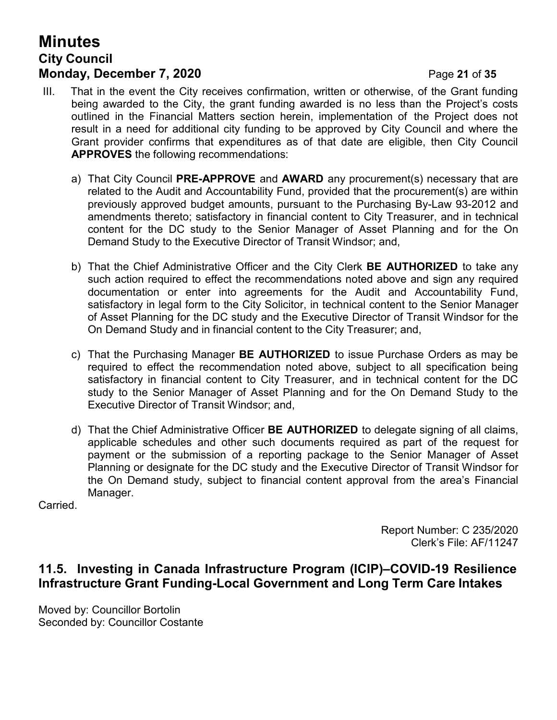## **Minutes City Council Monday, December 7, 2020 Page 21 of 35**

- III. That in the event the City receives confirmation, written or otherwise, of the Grant funding being awarded to the City, the grant funding awarded is no less than the Project's costs outlined in the Financial Matters section herein, implementation of the Project does not result in a need for additional city funding to be approved by City Council and where the Grant provider confirms that expenditures as of that date are eligible, then City Council **APPROVES** the following recommendations:
	- a) That City Council **PRE-APPROVE** and **AWARD** any procurement(s) necessary that are related to the Audit and Accountability Fund, provided that the procurement(s) are within previously approved budget amounts, pursuant to the Purchasing By-Law 93-2012 and amendments thereto; satisfactory in financial content to City Treasurer, and in technical content for the DC study to the Senior Manager of Asset Planning and for the On Demand Study to the Executive Director of Transit Windsor; and,
	- b) That the Chief Administrative Officer and the City Clerk **BE AUTHORIZED** to take any such action required to effect the recommendations noted above and sign any required documentation or enter into agreements for the Audit and Accountability Fund, satisfactory in legal form to the City Solicitor, in technical content to the Senior Manager of Asset Planning for the DC study and the Executive Director of Transit Windsor for the On Demand Study and in financial content to the City Treasurer; and,
	- c) That the Purchasing Manager **BE AUTHORIZED** to issue Purchase Orders as may be required to effect the recommendation noted above, subject to all specification being satisfactory in financial content to City Treasurer, and in technical content for the DC study to the Senior Manager of Asset Planning and for the On Demand Study to the Executive Director of Transit Windsor; and,
	- d) That the Chief Administrative Officer **BE AUTHORIZED** to delegate signing of all claims, applicable schedules and other such documents required as part of the request for payment or the submission of a reporting package to the Senior Manager of Asset Planning or designate for the DC study and the Executive Director of Transit Windsor for the On Demand study, subject to financial content approval from the area's Financial Manager.

Carried.

Report Number: C 235/2020 Clerk's File: AF/11247

### **11.5. Investing in Canada Infrastructure Program (ICIP)–COVID-19 Resilience Infrastructure Grant Funding-Local Government and Long Term Care Intakes**

Moved by: Councillor Bortolin Seconded by: Councillor Costante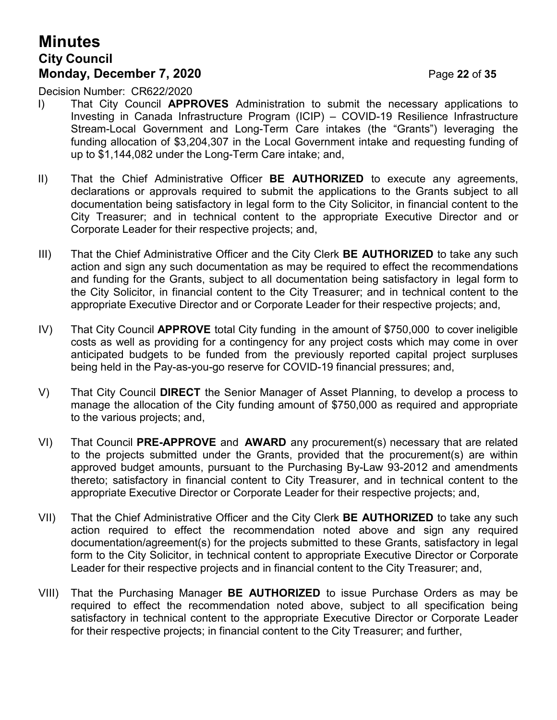## **Minutes City Council Monday, December 7, 2020 Page 22 of 35**

Decision Number: CR622/2020

- I) That City Council **APPROVES** Administration to submit the necessary applications to Investing in Canada Infrastructure Program (ICIP) – COVID-19 Resilience Infrastructure Stream-Local Government and Long-Term Care intakes (the "Grants") leveraging the funding allocation of \$3,204,307 in the Local Government intake and requesting funding of up to \$1,144,082 under the Long-Term Care intake; and,
- II) That the Chief Administrative Officer **BE AUTHORIZED** to execute any agreements, declarations or approvals required to submit the applications to the Grants subject to all documentation being satisfactory in legal form to the City Solicitor, in financial content to the City Treasurer; and in technical content to the appropriate Executive Director and or Corporate Leader for their respective projects; and,
- III) That the Chief Administrative Officer and the City Clerk **BE AUTHORIZED** to take any such action and sign any such documentation as may be required to effect the recommendations and funding for the Grants, subject to all documentation being satisfactory in legal form to the City Solicitor, in financial content to the City Treasurer; and in technical content to the appropriate Executive Director and or Corporate Leader for their respective projects; and,
- IV) That City Council **APPROVE** total City funding in the amount of \$750,000 to cover ineligible costs as well as providing for a contingency for any project costs which may come in over anticipated budgets to be funded from the previously reported capital project surpluses being held in the Pay-as-you-go reserve for COVID-19 financial pressures; and,
- V) That City Council **DIRECT** the Senior Manager of Asset Planning, to develop a process to manage the allocation of the City funding amount of \$750,000 as required and appropriate to the various projects; and,
- VI) That Council **PRE-APPROVE** and **AWARD** any procurement(s) necessary that are related to the projects submitted under the Grants, provided that the procurement(s) are within approved budget amounts, pursuant to the Purchasing By-Law 93-2012 and amendments thereto; satisfactory in financial content to City Treasurer, and in technical content to the appropriate Executive Director or Corporate Leader for their respective projects; and,
- VII) That the Chief Administrative Officer and the City Clerk **BE AUTHORIZED** to take any such action required to effect the recommendation noted above and sign any required documentation/agreement(s) for the projects submitted to these Grants, satisfactory in legal form to the City Solicitor, in technical content to appropriate Executive Director or Corporate Leader for their respective projects and in financial content to the City Treasurer; and,
- VIII) That the Purchasing Manager **BE AUTHORIZED** to issue Purchase Orders as may be required to effect the recommendation noted above, subject to all specification being satisfactory in technical content to the appropriate Executive Director or Corporate Leader for their respective projects; in financial content to the City Treasurer; and further,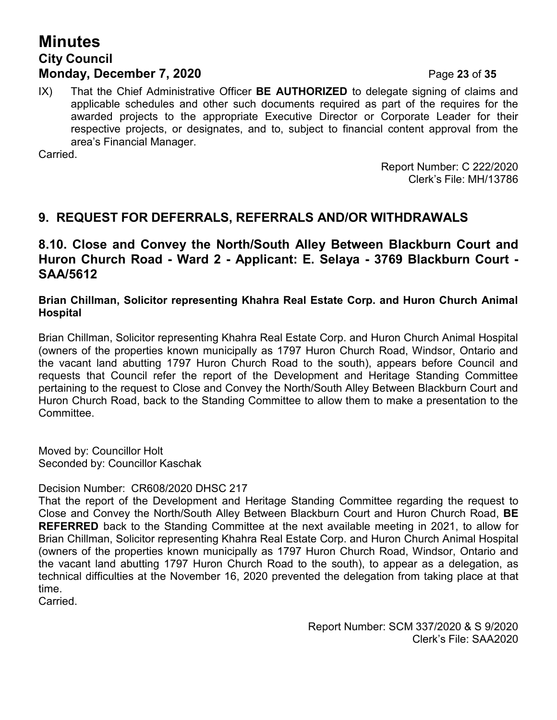## **Minutes City Council Monday, December 7, 2020 Page 23 of 35**

IX) That the Chief Administrative Officer **BE AUTHORIZED** to delegate signing of claims and applicable schedules and other such documents required as part of the requires for the awarded projects to the appropriate Executive Director or Corporate Leader for their respective projects, or designates, and to, subject to financial content approval from the area's Financial Manager.

Carried.

Report Number: C 222/2020 Clerk's File: MH/13786

### **9. REQUEST FOR DEFERRALS, REFERRALS AND/OR WITHDRAWALS**

### **8.10. Close and Convey the North/South Alley Between Blackburn Court and Huron Church Road - Ward 2 - Applicant: E. Selaya - 3769 Blackburn Court - SAA/5612**

### **Brian Chillman, Solicitor representing Khahra Real Estate Corp. and Huron Church Animal Hospital**

Brian Chillman, Solicitor representing Khahra Real Estate Corp. and Huron Church Animal Hospital (owners of the properties known municipally as 1797 Huron Church Road, Windsor, Ontario and the vacant land abutting 1797 Huron Church Road to the south), appears before Council and requests that Council refer the report of the Development and Heritage Standing Committee pertaining to the request to Close and Convey the North/South Alley Between Blackburn Court and Huron Church Road, back to the Standing Committee to allow them to make a presentation to the Committee.

Moved by: Councillor Holt Seconded by: Councillor Kaschak

Decision Number: CR608/2020 DHSC 217

That the report of the Development and Heritage Standing Committee regarding the request to Close and Convey the North/South Alley Between Blackburn Court and Huron Church Road, **BE REFERRED** back to the Standing Committee at the next available meeting in 2021, to allow for Brian Chillman, Solicitor representing Khahra Real Estate Corp. and Huron Church Animal Hospital (owners of the properties known municipally as 1797 Huron Church Road, Windsor, Ontario and the vacant land abutting 1797 Huron Church Road to the south), to appear as a delegation, as technical difficulties at the November 16, 2020 prevented the delegation from taking place at that time.

Carried.

Report Number: SCM 337/2020 & S 9/2020 Clerk's File: SAA2020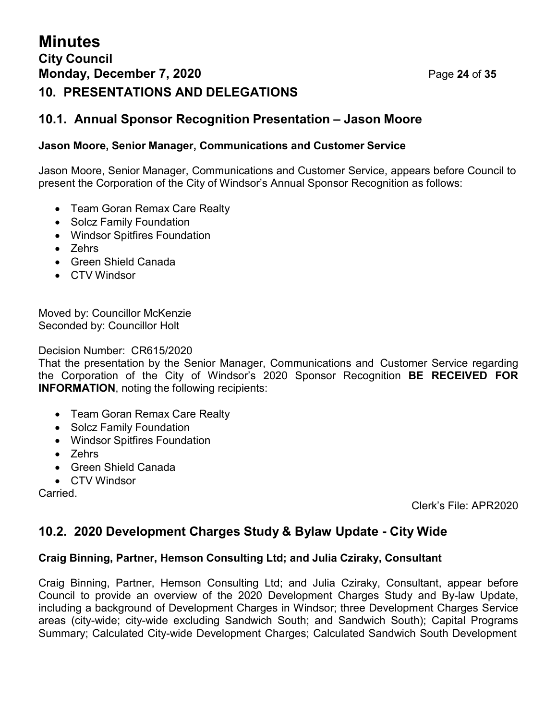## **Minutes City Council Monday, December 7, 2020 Page 24 of 35 10. PRESENTATIONS AND DELEGATIONS**

### **10.1. Annual Sponsor Recognition Presentation – Jason Moore**

### **Jason Moore, Senior Manager, Communications and Customer Service**

Jason Moore, Senior Manager, Communications and Customer Service, appears before Council to present the Corporation of the City of Windsor's Annual Sponsor Recognition as follows:

- Team Goran Remax Care Realty
- Solcz Family Foundation
- Windsor Spitfires Foundation
- Zehrs
- Green Shield Canada
- CTV Windsor

Moved by: Councillor McKenzie Seconded by: Councillor Holt

Decision Number: CR615/2020

That the presentation by the Senior Manager, Communications and Customer Service regarding the Corporation of the City of Windsor's 2020 Sponsor Recognition **BE RECEIVED FOR INFORMATION**, noting the following recipients:

- Team Goran Remax Care Realty
- Solcz Family Foundation
- Windsor Spitfires Foundation
- Zehrs
- Green Shield Canada
- CTV Windsor

Carried.

Clerk's File: APR2020

### **10.2. 2020 Development Charges Study & Bylaw Update - City Wide**

### **Craig Binning, Partner, Hemson Consulting Ltd; and Julia Cziraky, Consultant**

Craig Binning, Partner, Hemson Consulting Ltd; and Julia Cziraky, Consultant, appear before Council to provide an overview of the 2020 Development Charges Study and By-law Update, including a background of Development Charges in Windsor; three Development Charges Service areas (city-wide; city-wide excluding Sandwich South; and Sandwich South); Capital Programs Summary; Calculated City-wide Development Charges; Calculated Sandwich South Development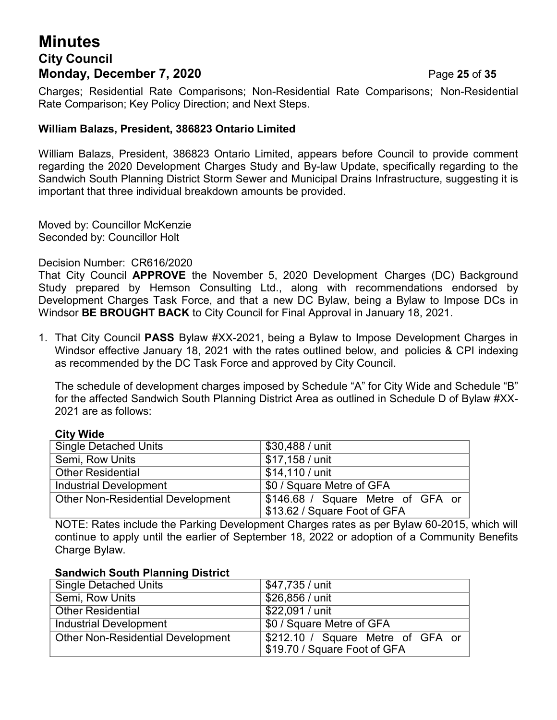## **Minutes City Council Monday, December 7, 2020 Page 25 of 35**

Charges; Residential Rate Comparisons; Non-Residential Rate Comparisons; Non-Residential Rate Comparison; Key Policy Direction; and Next Steps.

### **William Balazs, President, 386823 Ontario Limited**

William Balazs, President, 386823 Ontario Limited, appears before Council to provide comment regarding the 2020 Development Charges Study and By-law Update, specifically regarding to the Sandwich South Planning District Storm Sewer and Municipal Drains Infrastructure, suggesting it is important that three individual breakdown amounts be provided.

Moved by: Councillor McKenzie Seconded by: Councillor Holt

### Decision Number: CR616/2020

That City Council **APPROVE** the November 5, 2020 Development Charges (DC) Background Study prepared by Hemson Consulting Ltd., along with recommendations endorsed by Development Charges Task Force, and that a new DC Bylaw, being a Bylaw to Impose DCs in Windsor **BE BROUGHT BACK** to City Council for Final Approval in January 18, 2021.

1. That City Council **PASS** Bylaw #XX-2021, being a Bylaw to Impose Development Charges in Windsor effective January 18, 2021 with the rates outlined below, and policies & CPI indexing as recommended by the DC Task Force and approved by City Council.

The schedule of development charges imposed by Schedule "A" for City Wide and Schedule "B" for the affected Sandwich South Planning District Area as outlined in Schedule D of Bylaw #XX-2021 are as follows:

| $\mathbf{v}$ , $\mathbf{v}$ , $\mathbf{v}$ |                                                                   |  |  |
|--------------------------------------------|-------------------------------------------------------------------|--|--|
| <b>Single Detached Units</b>               | \$30,488 / unit                                                   |  |  |
| Semi, Row Units                            | \$17,158 / unit                                                   |  |  |
| <b>Other Residential</b>                   | \$14,110 / unit                                                   |  |  |
| Industrial Development                     | \$0 / Square Metre of GFA                                         |  |  |
| <b>Other Non-Residential Development</b>   | \$146.68 / Square Metre of GFA or<br>\$13.62 / Square Foot of GFA |  |  |

### **City Wide**

NOTE: Rates include the Parking Development Charges rates as per Bylaw 60-2015, which will continue to apply until the earlier of September 18, 2022 or adoption of a Community Benefits Charge Bylaw.

### **Sandwich South Planning District**

| <b>Single Detached Units</b>             | \$47,735 / unit                                                   |
|------------------------------------------|-------------------------------------------------------------------|
| Semi, Row Units                          | \$26,856 / unit                                                   |
| <b>Other Residential</b>                 | \$22,091 / unit                                                   |
| Industrial Development                   | \$0 / Square Metre of GFA                                         |
| <b>Other Non-Residential Development</b> | \$212.10 / Square Metre of GFA or<br>\$19.70 / Square Foot of GFA |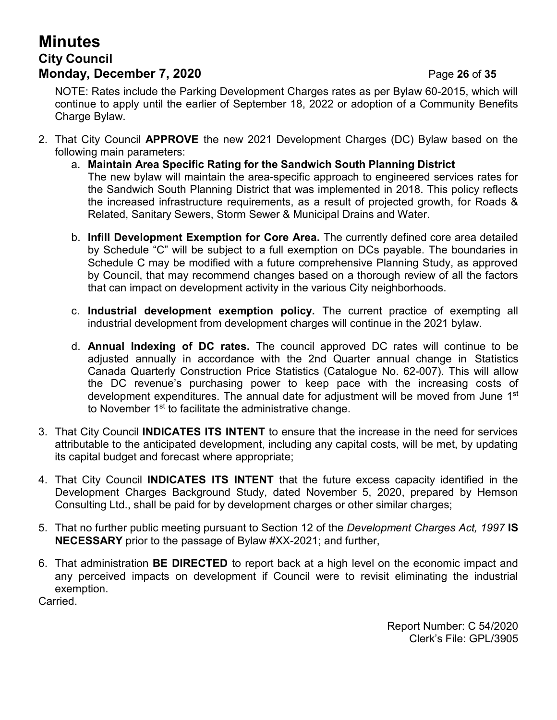## **Minutes City Council Monday, December 7, 2020 Page 26 of 35**

NOTE: Rates include the Parking Development Charges rates as per Bylaw 60-2015, which will continue to apply until the earlier of September 18, 2022 or adoption of a Community Benefits Charge Bylaw.

- 2. That City Council **APPROVE** the new 2021 Development Charges (DC) Bylaw based on the following main parameters:
	- a. **Maintain Area Specific Rating for the Sandwich South Planning District** The new bylaw will maintain the area-specific approach to engineered services rates for the Sandwich South Planning District that was implemented in 2018. This policy reflects the increased infrastructure requirements, as a result of projected growth, for Roads & Related, Sanitary Sewers, Storm Sewer & Municipal Drains and Water.
	- b. **Infill Development Exemption for Core Area.** The currently defined core area detailed by Schedule "C" will be subject to a full exemption on DCs payable. The boundaries in Schedule C may be modified with a future comprehensive Planning Study, as approved by Council, that may recommend changes based on a thorough review of all the factors that can impact on development activity in the various City neighborhoods.
	- c. **Industrial development exemption policy.** The current practice of exempting all industrial development from development charges will continue in the 2021 bylaw.
	- d. **Annual Indexing of DC rates.** The council approved DC rates will continue to be adjusted annually in accordance with the 2nd Quarter annual change in Statistics Canada Quarterly Construction Price Statistics (Catalogue No. 62-007). This will allow the DC revenue's purchasing power to keep pace with the increasing costs of development expenditures. The annual date for adjustment will be moved from June 1st to November 1<sup>st</sup> to facilitate the administrative change.
- 3. That City Council **INDICATES ITS INTENT** to ensure that the increase in the need for services attributable to the anticipated development, including any capital costs, will be met, by updating its capital budget and forecast where appropriate;
- 4. That City Council **INDICATES ITS INTENT** that the future excess capacity identified in the Development Charges Background Study, dated November 5, 2020, prepared by Hemson Consulting Ltd., shall be paid for by development charges or other similar charges;
- 5. That no further public meeting pursuant to Section 12 of the *Development Charges Act, 1997* **IS NECESSARY** prior to the passage of Bylaw #XX-2021; and further,
- 6. That administration **BE DIRECTED** to report back at a high level on the economic impact and any perceived impacts on development if Council were to revisit eliminating the industrial exemption.

Carried.

Report Number: C 54/2020 Clerk's File: GPL/3905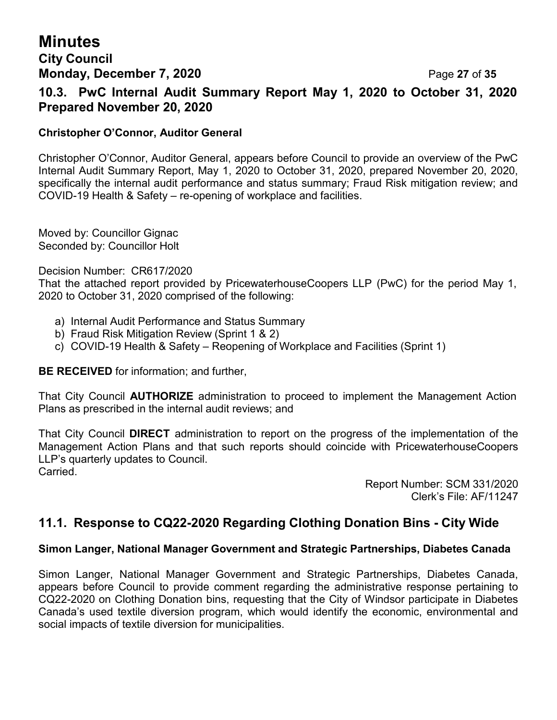### **City Council Monday, December 7, 2020 Page 27 of 35**

**10.3. PwC Internal Audit Summary Report May 1, 2020 to October 31, 2020 Prepared November 20, 2020**

### **Christopher O'Connor, Auditor General**

Christopher O'Connor, Auditor General, appears before Council to provide an overview of the PwC Internal Audit Summary Report, May 1, 2020 to October 31, 2020, prepared November 20, 2020, specifically the internal audit performance and status summary; Fraud Risk mitigation review; and COVID-19 Health & Safety – re-opening of workplace and facilities.

Moved by: Councillor Gignac Seconded by: Councillor Holt

Decision Number: CR617/2020

That the attached report provided by PricewaterhouseCoopers LLP (PwC) for the period May 1, 2020 to October 31, 2020 comprised of the following:

- a) Internal Audit Performance and Status Summary
- b) Fraud Risk Mitigation Review (Sprint 1 & 2)
- c) COVID-19 Health & Safety Reopening of Workplace and Facilities (Sprint 1)

**BE RECEIVED** for information; and further,

That City Council **AUTHORIZE** administration to proceed to implement the Management Action Plans as prescribed in the internal audit reviews; and

That City Council **DIRECT** administration to report on the progress of the implementation of the Management Action Plans and that such reports should coincide with PricewaterhouseCoopers LLP's quarterly updates to Council. Carried.

> Report Number: SCM 331/2020 Clerk's File: AF/11247

### **11.1. Response to CQ22-2020 Regarding Clothing Donation Bins - City Wide**

### **Simon Langer, National Manager Government and Strategic Partnerships, Diabetes Canada**

Simon Langer, National Manager Government and Strategic Partnerships, Diabetes Canada, appears before Council to provide comment regarding the administrative response pertaining to CQ22-2020 on Clothing Donation bins, requesting that the City of Windsor participate in Diabetes Canada's used textile diversion program, which would identify the economic, environmental and social impacts of textile diversion for municipalities.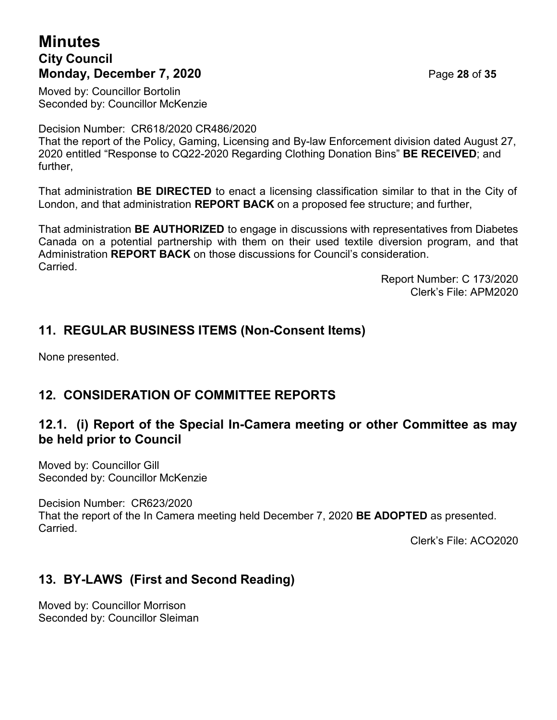## **Minutes City Council Monday, December 7, 2020 Page 28 of 35**

Moved by: Councillor Bortolin Seconded by: Councillor McKenzie

Decision Number: CR618/2020 CR486/2020

That the report of the Policy, Gaming, Licensing and By-law Enforcement division dated August 27, 2020 entitled "Response to CQ22-2020 Regarding Clothing Donation Bins" **BE RECEIVED**; and further,

That administration **BE DIRECTED** to enact a licensing classification similar to that in the City of London, and that administration **REPORT BACK** on a proposed fee structure; and further,

That administration **BE AUTHORIZED** to engage in discussions with representatives from Diabetes Canada on a potential partnership with them on their used textile diversion program, and that Administration **REPORT BACK** on those discussions for Council's consideration. Carried.

> Report Number: C 173/2020 Clerk's File: APM2020

## **11. REGULAR BUSINESS ITEMS (Non-Consent Items)**

None presented.

## **12. CONSIDERATION OF COMMITTEE REPORTS**

### **12.1. (i) Report of the Special In-Camera meeting or other Committee as may be held prior to Council**

Moved by: Councillor Gill Seconded by: Councillor McKenzie

Decision Number: CR623/2020

That the report of the In Camera meeting held December 7, 2020 **BE ADOPTED** as presented. **Carried** 

Clerk's File: ACO2020

## **13. BY-LAWS (First and Second Reading)**

Moved by: Councillor Morrison Seconded by: Councillor Sleiman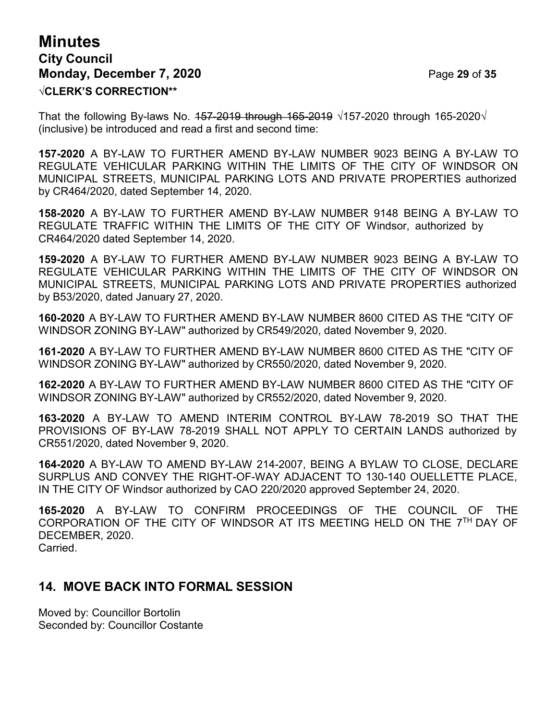## **Minutes City Council Monday, December 7, 2020 Page 29 of 35 √CLERK'S CORRECTION\*\***

That the following By-laws No.  $157-2019$  through  $165-2019 \sqrt{157-2020}$  through  $165-2020\sqrt{15}$ (inclusive) be introduced and read a first and second time:

**157-2020** A BY-LAW TO FURTHER AMEND BY-LAW NUMBER 9023 BEING A BY-LAW TO REGULATE VEHICULAR PARKING WITHIN THE LIMITS OF THE CITY OF WINDSOR ON MUNICIPAL STREETS, MUNICIPAL PARKING LOTS AND PRIVATE PROPERTIES authorized by CR464/2020, dated September 14, 2020.

**158-2020** A BY-LAW TO FURTHER AMEND BY-LAW NUMBER 9148 BEING A BY-LAW TO REGULATE TRAFFIC WITHIN THE LIMITS OF THE CITY OF Windsor, authorized by CR464/2020 dated September 14, 2020.

**159-2020** A BY-LAW TO FURTHER AMEND BY-LAW NUMBER 9023 BEING A BY-LAW TO REGULATE VEHICULAR PARKING WITHIN THE LIMITS OF THE CITY OF WINDSOR ON MUNICIPAL STREETS, MUNICIPAL PARKING LOTS AND PRIVATE PROPERTIES authorized by B53/2020, dated January 27, 2020.

**160-2020** A BY-LAW TO FURTHER AMEND BY-LAW NUMBER 8600 CITED AS THE "CITY OF WINDSOR ZONING BY-LAW" authorized by CR549/2020, dated November 9, 2020.

**161-2020** A BY-LAW TO FURTHER AMEND BY-LAW NUMBER 8600 CITED AS THE "CITY OF WINDSOR ZONING BY-LAW" authorized by CR550/2020, dated November 9, 2020.

**162-2020** A BY-LAW TO FURTHER AMEND BY-LAW NUMBER 8600 CITED AS THE "CITY OF WINDSOR ZONING BY-LAW" authorized by CR552/2020, dated November 9, 2020.

**163-2020** A BY-LAW TO AMEND INTERIM CONTROL BY-LAW 78-2019 SO THAT THE PROVISIONS OF BY-LAW 78-2019 SHALL NOT APPLY TO CERTAIN LANDS authorized by CR551/2020, dated November 9, 2020.

**164-2020** A BY-LAW TO AMEND BY-LAW 214-2007, BEING A BYLAW TO CLOSE, DECLARE SURPLUS AND CONVEY THE RIGHT-OF-WAY ADJACENT TO 130-140 OUELLETTE PLACE, IN THE CITY OF Windsor authorized by CAO 220/2020 approved September 24, 2020.

**165-2020** A BY-LAW TO CONFIRM PROCEEDINGS OF THE COUNCIL OF THE CORPORATION OF THE CITY OF WINDSOR AT ITS MEETING HELD ON THE 7TH DAY OF DECEMBER, 2020. Carried.

### **14. MOVE BACK INTO FORMAL SESSION**

Moved by: Councillor Bortolin Seconded by: Councillor Costante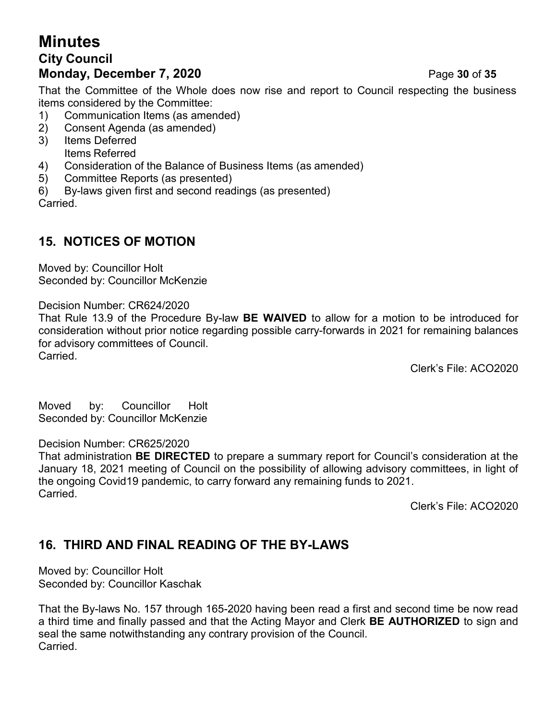## **Minutes City Council Monday, December 7, 2020 Page 30 of 35**

That the Committee of the Whole does now rise and report to Council respecting the business items considered by the Committee:

- 1) Communication Items (as amended)
- 2) Consent Agenda (as amended)
- 3) Items Deferred Items Referred
- 4) Consideration of the Balance of Business Items (as amended)
- 5) Committee Reports (as presented)
- 6) By-laws given first and second readings (as presented)

Carried.

## **15. NOTICES OF MOTION**

Moved by: Councillor Holt Seconded by: Councillor McKenzie

Decision Number: CR624/2020

That Rule 13.9 of the Procedure By-law **BE WAIVED** to allow for a motion to be introduced for consideration without prior notice regarding possible carry-forwards in 2021 for remaining balances for advisory committees of Council. **Carried** 

Clerk's File: ACO2020

Moved by: Councillor Holt Seconded by: Councillor McKenzie

### Decision Number: CR625/2020

That administration **BE DIRECTED** to prepare a summary report for Council's consideration at the January 18, 2021 meeting of Council on the possibility of allowing advisory committees, in light of the ongoing Covid19 pandemic, to carry forward any remaining funds to 2021. Carried.

Clerk's File: ACO2020

## **16. THIRD AND FINAL READING OF THE BY-LAWS**

Moved by: Councillor Holt Seconded by: Councillor Kaschak

That the By-laws No. 157 through 165-2020 having been read a first and second time be now read a third time and finally passed and that the Acting Mayor and Clerk **BE AUTHORIZED** to sign and seal the same notwithstanding any contrary provision of the Council. Carried.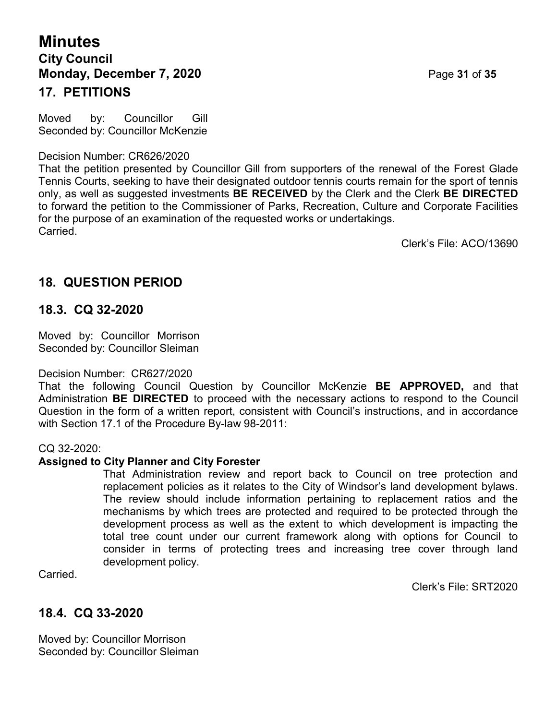## **Minutes City Council Monday, December 7, 2020 Page 31 of 35 17. PETITIONS**

Moved by: Councillor Gill Seconded by: Councillor McKenzie

Decision Number: CR626/2020

That the petition presented by Councillor Gill from supporters of the renewal of the Forest Glade Tennis Courts, seeking to have their designated outdoor tennis courts remain for the sport of tennis only, as well as suggested investments **BE RECEIVED** by the Clerk and the Clerk **BE DIRECTED** to forward the petition to the Commissioner of Parks, Recreation, Culture and Corporate Facilities for the purpose of an examination of the requested works or undertakings. Carried.

Clerk's File: ACO/13690

### **18. QUESTION PERIOD**

### **18.3. CQ 32-2020**

Moved by: Councillor Morrison Seconded by: Councillor Sleiman

### Decision Number: CR627/2020

That the following Council Question by Councillor McKenzie **BE APPROVED,** and that Administration **BE DIRECTED** to proceed with the necessary actions to respond to the Council Question in the form of a written report, consistent with Council's instructions, and in accordance with Section 17.1 of the Procedure By-law 98-2011:

### CQ 32-2020:

### **Assigned to City Planner and City Forester**

That Administration review and report back to Council on tree protection and replacement policies as it relates to the City of Windsor's land development bylaws. The review should include information pertaining to replacement ratios and the mechanisms by which trees are protected and required to be protected through the development process as well as the extent to which development is impacting the total tree count under our current framework along with options for Council to consider in terms of protecting trees and increasing tree cover through land development policy.

Carried.

Clerk's File: SRT2020

### **18.4. CQ 33-2020**

Moved by: Councillor Morrison Seconded by: Councillor Sleiman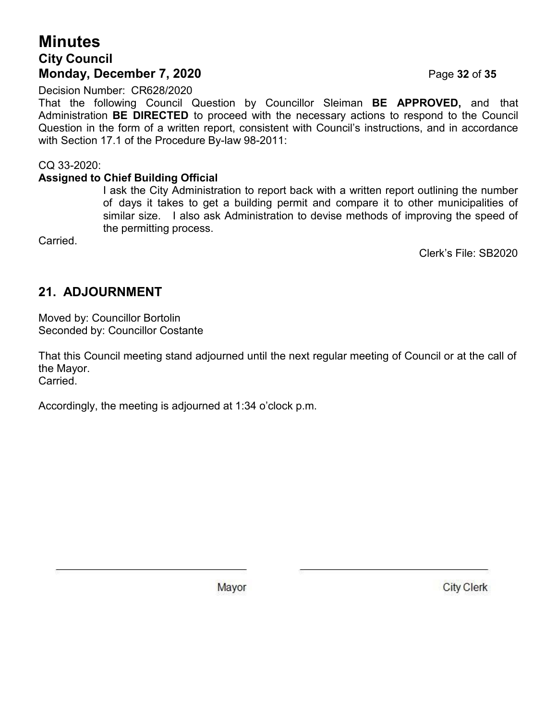### **Minutes City Council Monday, December 7, 2020 Page 32 of 35**

Decision Number: CR628/2020

That the following Council Question by Councillor Sleiman **BE APPROVED,** and that Administration **BE DIRECTED** to proceed with the necessary actions to respond to the Council Question in the form of a written report, consistent with Council's instructions, and in accordance with Section 17.1 of the Procedure By-law 98-2011:

CQ 33-2020:

### **Assigned to Chief Building Official**

I ask the City Administration to report back with a written report outlining the number of days it takes to get a building permit and compare it to other municipalities of similar size. I also ask Administration to devise methods of improving the speed of the permitting process.

Carried.

Clerk's File: SB2020

## **21. ADJOURNMENT**

Moved by: Councillor Bortolin Seconded by: Councillor Costante

That this Council meeting stand adjourned until the next regular meeting of Council or at the call of the Mayor.

Carried.

Accordingly, the meeting is adjourned at 1:34 o'clock p.m.

Mayor

**City Clerk**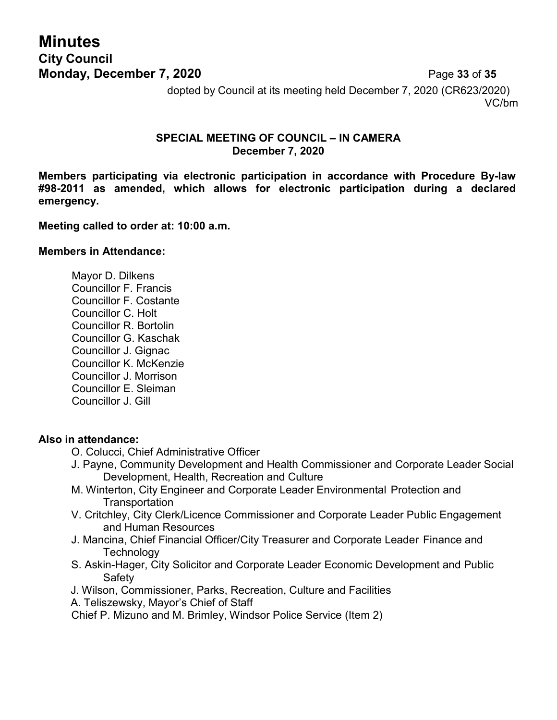## **Minutes City Council Monday, December 7, 2020 Page 33 of 35**

dopted by Council at its meeting held December 7, 2020 (CR623/2020) VC/bm

### **SPECIAL MEETING OF COUNCIL – IN CAMERA December 7, 2020**

**Members participating via electronic participation in accordance with Procedure By-law #98-2011 as amended, which allows for electronic participation during a declared emergency.**

### **Meeting called to order at: 10:00 a.m.**

### **Members in Attendance:**

Mayor D. Dilkens Councillor F. Francis Councillor F. Costante Councillor C. Holt Councillor R. Bortolin Councillor G. Kaschak Councillor J. Gignac Councillor K. McKenzie Councillor J. Morrison Councillor E. Sleiman Councillor J. Gill

### **Also in attendance:**

- O. Colucci, Chief Administrative Officer
- J. Payne, Community Development and Health Commissioner and Corporate Leader Social Development, Health, Recreation and Culture
- M. Winterton, City Engineer and Corporate Leader Environmental Protection and **Transportation**
- V. Critchley, City Clerk/Licence Commissioner and Corporate Leader Public Engagement and Human Resources
- J. Mancina, Chief Financial Officer/City Treasurer and Corporate Leader Finance and **Technology**
- S. Askin-Hager, City Solicitor and Corporate Leader Economic Development and Public Safety
- J. Wilson, Commissioner, Parks, Recreation, Culture and Facilities
- A. Teliszewsky, Mayor's Chief of Staff

Chief P. Mizuno and M. Brimley, Windsor Police Service (Item 2)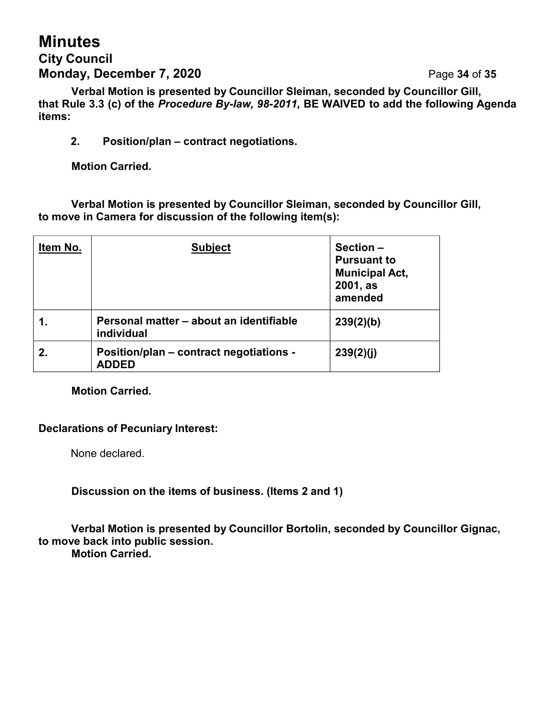## **Minutes City Council Monday, December 7, 2020 Page 34 of 35**

**Verbal Motion is presented by Councillor Sleiman, seconded by Councillor Gill, that Rule 3.3 (c) of the** *Procedure By-law, 98-2011,* **BE WAIVED to add the following Agenda items:**

**2. Position/plan – contract negotiations.**

**Motion Carried.**

**Verbal Motion is presented by Councillor Sleiman, seconded by Councillor Gill, to move in Camera for discussion of the following item(s):**

| Item No. | <b>Subject</b>                                          | Section -<br><b>Pursuant to</b><br><b>Municipal Act,</b><br>2001, as<br>amended |
|----------|---------------------------------------------------------|---------------------------------------------------------------------------------|
|          | Personal matter - about an identifiable<br>individual   | 239(2)(b)                                                                       |
| 2.       | Position/plan – contract negotiations -<br><b>ADDED</b> | 239(2)(j)                                                                       |

### **Motion Carried.**

### **Declarations of Pecuniary Interest:**

None declared.

**Discussion on the items of business. (Items 2 and 1)**

**Verbal Motion is presented by Councillor Bortolin, seconded by Councillor Gignac, to move back into public session. Motion Carried.**